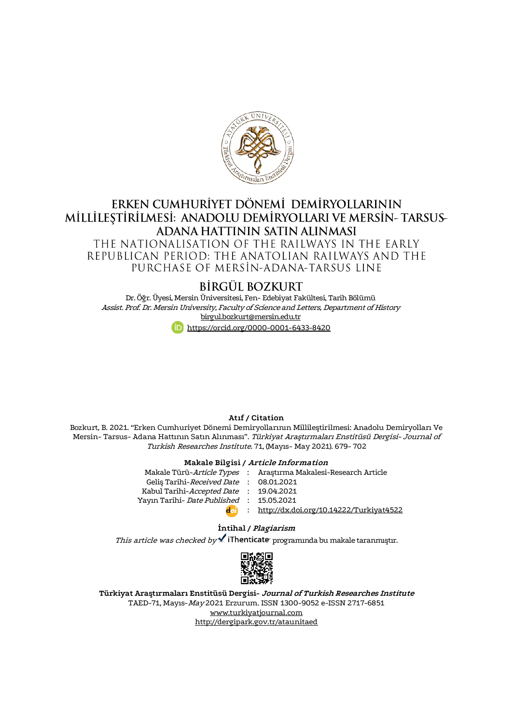

# ERKEN CUMHURİYET DÖNEMİ DEMİRYOLLARININ MİLLİLESTİRİLMESİ: ANADOLU DEMİRYOLLARI VE MERSİN-TARSUS-ADANA HATTININ SATIN ALINMASI THE NATIONALISATION OF THE RAILWAYS IN THE EARLY REPUBLICAN PERIOD: THE ANATOLIAN RAILWAYS AND THE PURCHASE OF MERSIN-ADANA-TARSUS LINE

# BIRGÜL BOZKURT

Dr. Öğr. Üyesi, Mersin Üniversitesi, Fen- Edebiyat Fakültesi, Tarih Bölümü Assist. Prof. Dr. Mersin University, Faculty of Science and Letters, Department of History [birgul.bozkurt@mersin.edu.tr](mailto:birgul.bozkurt@mersin.edu.tr)

<https://orcid.org/0000-0001-6433-8420>

#### **Atıf / Citation**

Bozkurt, B. 2021. "Erken Cumhuriyet Dönemi Demiryollarının Millileştirilmesi: Anadolu Demiryolları Ve Mersin- Tarsus- Adana Hattının Satın Alınması". Türkiyat Araştırmaları Enstitüsü Dergisi- Journal of Turkish Researches Institute. 71, (Mayıs- May 2021). 679- 702

#### **Makale Bilgisi / Article Information**

Makale Türü-Article Types Geliş Tarihi-*Received Date* Kabul Tarihi-*Accepted Date* Yayın Tarihi- Date Published : : : : : <http://dx.doi.org/10.14222/Turkiyat4522> Araştırma Makalesi-Research Article 08.01.2021 19.04.2021 15.05.2021

#### **İntihal / Plagiarism**

This article was checked by  $\blacktriangle$  iThenticate programinda bu makale taranmıştır.



**Türkiyat Araştırmaları Enstitüsü Dergisi- Journal of Turkish Researches Institute** TAED-71, Mayıs-May 2021 Erzurum. ISSN 1300-9052 e-ISSN 2717-6851 [www.turkiyatjournal.com](http://www.turkiyatjournal.com/) <http://dergipark.gov.tr/ataunitaed>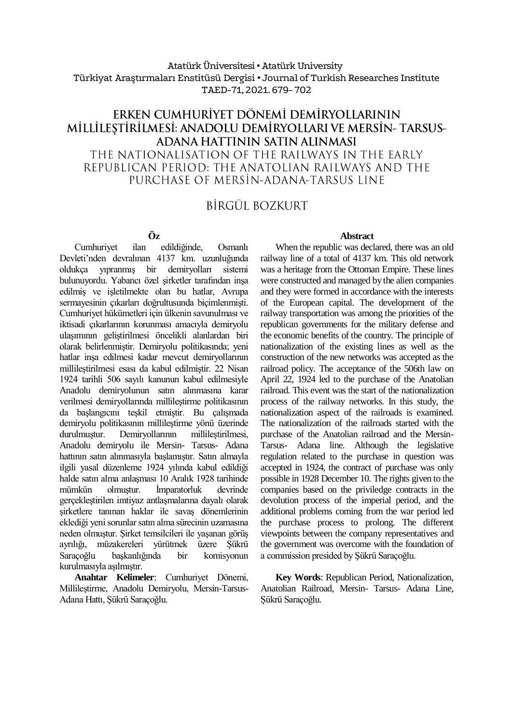#### Atatürk Üniversitesi• Atatürk University Türkiyat Araştırmaları Enstitüsü Dergisi • Journal of Turkish Researches Institute TAED-71, 2021.679- 702

# ERKEN CUMHURİYET DÖNEMİ DEMİRYOLLARININ millilestirilmesi: anadolu demiryolları ve mersin- tarsus-ADANA HATTININ SATIN ALINMASI THE NATIONALISATION OF THE RAILWAYS IN THE EARLY REPUBLICAN PERIOD: THE ANATOLIAN RAILWAYS AND THE PURCHASE OF MERSIN-ADANA-TARSUS LINE

# BİRGÜL BOZKURT

**Öz**

Cumhuriyet ilan edildiğinde, Osmanlı Devleti'nden devralınan 4137 km. uzunluğunda oldukça yıpranmış bir demiryolları bulunuyordu. Yabancı özel şirketler tarafından inşa edilmiş ve işletilmekte olan bu hatlar, Avrupa sermayesinin çıkarları doğrultusunda biçimlenmişti. Cumhuriyet hükümetleri için ülkenin savunulması ve iktisadi çıkarlarının korunması amacıyla demiryolu ulaşımının geliştirilmesi öncelikli alanlardan biri olarak belirlenmiştir. Demiryolu politikasında; yeni hatlar inşa edilmesi kadar mevcut demiryollarının millileştirilmesi esası da kabul edilmiştir. 22 Nisan 1924 tarihli 506 sayılı kanunun kabul edilmesiyle Anadolu demiryolunun satın alınmasına karar verilmesi demiryollarında millileştirme politikasının da başlangıcını teşkil etmiştir. Bu çalışmada demiryolu politikasının millileştirme yönü üzerinde durulmuştur. Demiryollarının millileştirilmesi, Anadolu demiryolu ile Mersin- Tarsus- Adana hattının satın alınmasıyla başlamıştır. Satın almayla ilgili yasal düzenleme 1924 yılında kabul edildiği halde satın alma anlaşması 10 Aralık 1928 tarihinde mümkün olmuştur. İmparatorluk devrinde gerçekleştirilen imtiyaz antlaşmalarına dayalı olarak şirketlere tanınan haklar ile savaş dönemlerinin eklediği yeni sorunlar satın alma sürecinin uzamasına neden olmuştur. Şirket temsilcileri ile yaşanan görüş ayrılığı, müzakereleri yürütmek üzere Şükrü Saraçoğlu başkanlığında bir komisyonun kurulmasıyla aşılmıştır.

**Anahtar Kelimeler**: Cumhuriyet Dönemi, Millileştirme, Anadolu Demiryolu, Mersin-Tarsus-Adana Hattı, Şükrü Saraçoğlu.

#### **Abstract**

When the republic was declared, there was an old railway line of a total of 4137 km. This old network was a heritage from the Ottoman Empire. These lines were constructed and managed by the alien companies and they were formed in accordance with the interests of the European capital. The development of the railway transportation was among the priorities of the republican governments for the military defense and the economic benefits of the country. The principle of nationalization of the existing lines as well as the construction of the new networks was accepted as the railroad policy. The acceptance of the 506th law on April 22, 1924 led to the purchase of the Anatolian railroad. This event was the start of the nationalization process of the railway networks. In this study, the nationalization aspect of the railroads is examined. The nationalization of the railroads started with the purchase of the Anatolian railroad and the Mersin-Tarsus- Adana line. Although the legislative regulation related to the purchase in question was accepted in 1924, the contract of purchase was only possible in 1928 December 10. The rights given to the companies based on the priviledge contracts in the devolution process of the imperial period, and the additional problems coming from the war period led the purchase process to prolong. The different viewpoints between the company representatives and the government was overcome with the foundation of a commission presided by Şükrü Saraçoğlu.

**Key Words**: Republican Period, Nationalization, Anatolian Railroad, Mersin- Tarsus- Adana Line, Şükrü Saraçoğlu.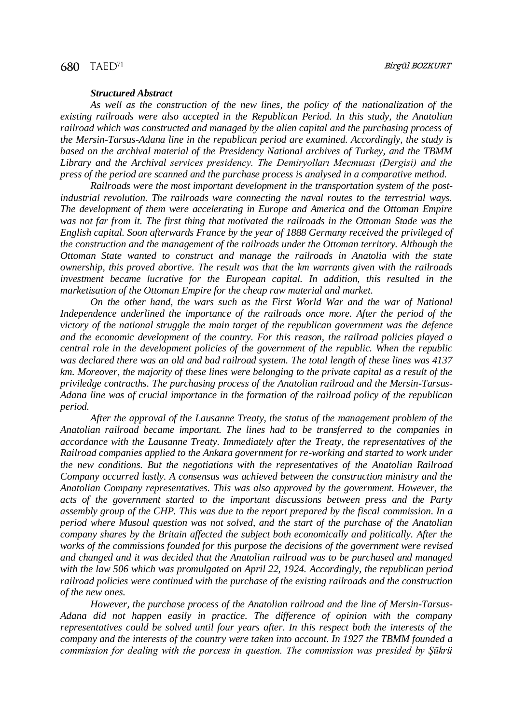#### *Structured Abstract*

*As well as the construction of the new lines, the policy of the nationalization of the existing railroads were also accepted in the Republican Period. In this study, the Anatolian railroad which was constructed and managed by the alien capital and the purchasing process of the Mersin-Tarsus-Adana line in the republican period are examined. Accordingly, the study is based on the archival material of the Presidency National archives of Turkey, and the TBMM Library and the Archival services presidency. The Demiryolları Mecmuası (Dergisi) and the press of the period are scanned and the purchase process is analysed in a comparative method.* 

*Railroads were the most important development in the transportation system of the postindustrial revolution. The railroads ware connecting the naval routes to the terrestrial ways. The development of them were accelerating in Europe and America and the Ottoman Empire was not far from it. The first thing that motivated the railroads in the Ottoman Stade was the English capital. Soon afterwards France by the year of 1888 Germany received the privileged of the construction and the management of the railroads under the Ottoman territory. Although the Ottoman State wanted to construct and manage the railroads in Anatolia with the state ownership, this proved abortive. The result was that the km warrants given with the railroads investment became lucrative for the European capital. In addition, this resulted in the marketisation of the Ottoman Empire for the cheap raw material and market.* 

*On the other hand, the wars such as the First World War and the war of National*  Independence underlined the importance of the railroads once more. After the period of the *victory of the national struggle the main target of the republican government was the defence and the economic development of the country. For this reason, the railroad policies played a central role in the development policies of the government of the republic. When the republic was declared there was an old and bad railroad system. The total length of these lines was 4137 km. Moreover, the majority of these lines were belonging to the private capital as a result of the priviledge contracths. The purchasing process of the Anatolian railroad and the Mersin-Tarsus-Adana line was of crucial importance in the formation of the railroad policy of the republican period.*

*After the approval of the Lausanne Treaty, the status of the management problem of the Anatolian railroad became important. The lines had to be transferred to the companies in accordance with the Lausanne Treaty. Immediately after the Treaty, the representatives of the Railroad companies applied to the Ankara government for re-working and started to work under the new conditions. But the negotiations with the representatives of the Anatolian Railroad Company occurred lastly. A consensus was achieved between the construction ministry and the Anatolian Company representatives. This was also approved by the government. However, the acts of the government started to the important discussions between press and the Party assembly group of the CHP. This was due to the report prepared by the fiscal commission. In a period where Musoul question was not solved, and the start of the purchase of the Anatolian company shares by the Britain affected the subject both economically and politically. After the works of the commissions founded for this purpose the decisions of the government were revised and changed and it was decided that the Anatolian railroad was to be purchased and managed with the law 506 which was promulgated on April 22, 1924. Accordingly, the republican period railroad policies were continued with the purchase of the existing railroads and the construction of the new ones.*

*However, the purchase process of the Anatolian railroad and the line of Mersin-Tarsus-Adana did not happen easily in practice. The difference of opinion with the company representatives could be solved until four years after. In this respect both the interests of the company and the interests of the country were taken into account. In 1927 the TBMM founded a commission for dealing with the porcess in question. The commission was presided by Şükrü*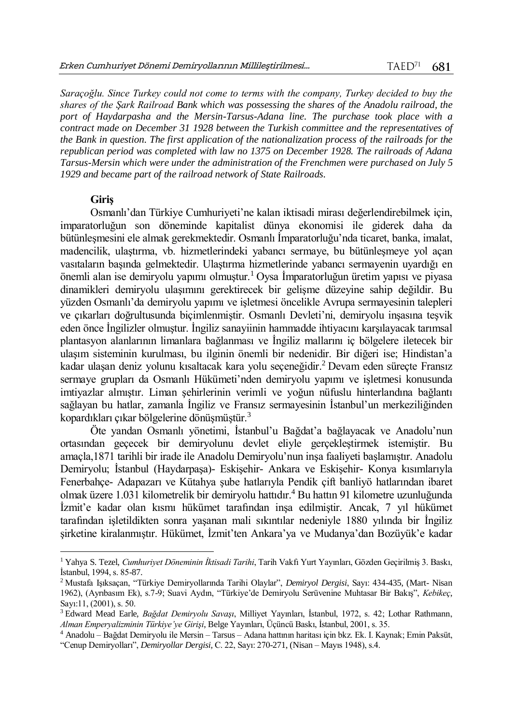*Saraçoğlu. Since Turkey could not come to terms with the company, Turkey decided to buy the shares of the Şark Railroad Bank which was possessing the shares of the Anadolu railroad, the port of Haydarpasha and the Mersin-Tarsus-Adana line. The purchase took place with a contract made on December 31 1928 between the Turkish committee and the representatives of the Bank in question. The first application of the nationalization process of the railroads for the republican period was completed with law no 1375 on December 1928. The railroads of Adana Tarsus-Mersin which were under the administration of the Frenchmen were purchased on July 5 1929 and became part of the railroad network of State Railroads.*

#### **Giriş**

 $\overline{a}$ 

Osmanlı'dan Türkiye Cumhuriyeti'ne kalan iktisadi mirası değerlendirebilmek için, imparatorluğun son döneminde kapitalist dünya ekonomisi ile giderek daha da bütünleşmesini ele almak gerekmektedir. Osmanlı İmparatorluğu'nda ticaret, banka, imalat, madencilik, ulaştırma, vb. hizmetlerindeki yabancı sermaye, bu bütünleşmeye yol açan vasıtaların başında gelmektedir. Ulaştırma hizmetlerinde yabancı sermayenin uyardığı en önemli alan ise demiryolu yapımı olmuştur.<sup>1</sup> Oysa İmparatorluğun üretim yapısı ve piyasa dinamikleri demiryolu ulaşımını gerektirecek bir gelişme düzeyine sahip değildir. Bu yüzden Osmanlı'da demiryolu yapımı ve işletmesi öncelikle Avrupa sermayesinin talepleri ve çıkarları doğrultusunda biçimlenmiştir. Osmanlı Devleti'ni, demiryolu inşasına teşvik eden önce İngilizler olmuştur. İngiliz sanayiinin hammadde ihtiyacını karşılayacak tarımsal plantasyon alanlarının limanlara bağlanması ve İngiliz mallarını iç bölgelere iletecek bir ulaşım sisteminin kurulması, bu ilginin önemli bir nedenidir. Bir diğeri ise; Hindistan'a kadar ulaşan deniz yolunu kısaltacak kara yolu seçeneğidir.<sup>2</sup> Devam eden süreçte Fransız sermaye grupları da Osmanlı Hükümeti'nden demiryolu yapımı ve işletmesi konusunda imtiyazlar almıştır. Liman şehirlerinin verimli ve yoğun nüfuslu hinterlandına bağlantı sağlayan bu hatlar, zamanla İngiliz ve Fransız sermayesinin İstanbul'un merkeziliğinden kopardıkları çıkar bölgelerine dönüşmüştür.<sup>3</sup>

Öte yandan Osmanlı yönetimi, İstanbul'u Bağdat'a bağlayacak ve Anadolu'nun ortasından geçecek bir demiryolunu devlet eliyle gerçekleştirmek istemiştir. Bu amaçla,1871 tarihli bir irade ile Anadolu Demiryolu'nun inşa faaliyeti başlamıştır. Anadolu Demiryolu; İstanbul (Haydarpaşa)- Eskişehir- Ankara ve Eskişehir- Konya kısımlarıyla Fenerbahçe- Adapazarı ve Kütahya şube hatlarıyla Pendik çift banliyö hatlarından ibaret olmak üzere 1.031 kilometrelik bir demiryolu hattıdır.<sup>4</sup> Bu hattın 91 kilometre uzunluğunda İzmit'e kadar olan kısmı hükümet tarafından inşa edilmiştir. Ancak, 7 yıl hükümet tarafından işletildikten sonra yaşanan mali sıkıntılar nedeniyle 1880 yılında bir İngiliz şirketine kiralanmıştır. Hükümet, İzmit'ten Ankara'ya ve Mudanya'dan Bozüyük'e kadar

<sup>1</sup> Yahya S. Tezel, *Cumhuriyet Döneminin İktisadi Tarihi*, Tarih Vakfı Yurt Yayınları, Gözden Geçirilmiş 3. Baskı, İstanbul, 1994, s. 85-87.

<sup>2</sup> Mustafa Işıksaçan, "Türkiye Demiryollarında Tarihi Olaylar", *Demiryol Dergisi*, Sayı: 434-435, (Mart- Nisan 1962), (Ayrıbasım Ek), s.7-9; Suavi Aydın, "Türkiye'de Demiryolu Serüvenine Muhtasar Bir Bakış", *Kebikeç*, Sayı:11, (2001), s. 50.

<sup>3</sup> Edward Mead Earle, *Bağdat Demiryolu Savaşı*, Milliyet Yayınları, İstanbul, 1972, s. 42; Lothar Rathmann, *Alman Emperyalizminin Türkiye'ye Girişi*, Belge Yayınları, Üçüncü Baskı, İstanbul, 2001, s. 35.

<sup>4</sup> Anadolu – Bağdat Demiryolu ile Mersin – Tarsus – Adana hattının haritası için bkz. Ek. I. Kaynak; Emin Paksüt, "Cenup Demiryolları", *Demiryollar Dergisi,* C. 22, Sayı: 270-271, (Nisan – Mayıs 1948), s.4.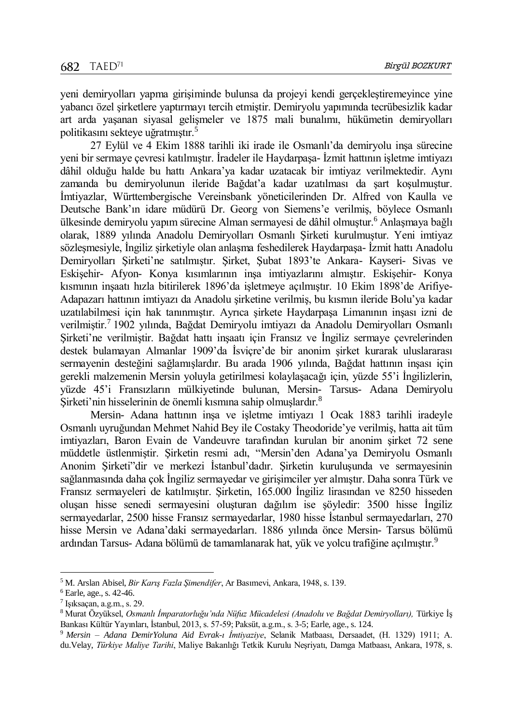yeni demiryolları yapma girişiminde bulunsa da projeyi kendi gerçekleştiremeyince yine yabancı özel şirketlere yaptırmayı tercih etmiştir. Demiryolu yapımında tecrübesizlik kadar art arda yaşanan siyasal gelişmeler ve 1875 mali bunalımı, hükümetin demiryolları politikasını sekteye uğratmıştır.<sup>5</sup>

27 Eylül ve 4 Ekim 1888 tarihli iki irade ile Osmanlı'da demiryolu inşa sürecine yeni bir sermaye çevresi katılmıştır. İradeler ile Haydarpaşa- İzmit hattının işletme imtiyazı dâhil olduğu halde bu hattı Ankara'ya kadar uzatacak bir imtiyaz verilmektedir. Aynı zamanda bu demiryolunun ileride Bağdat'a kadar uzatılması da şart koşulmuştur. İmtiyazlar, Württembergische Vereinsbank yöneticilerinden Dr. Alfred von Kaulla ve Deutsche Bank'ın idare müdürü Dr. Georg von Siemens'e verilmiş, böylece Osmanlı ülkesinde demiryolu yapım sürecine Alman sermayesi de dâhil olmuştur.<sup>6</sup> Anlaşmaya bağlı olarak, 1889 yılında Anadolu Demiryolları Osmanlı Şirketi kurulmuştur. Yeni imtiyaz sözleşmesiyle, İngiliz şirketiyle olan anlaşma feshedilerek Haydarpaşa- İzmit hattı Anadolu Demiryolları Şirketi'ne satılmıştır. Şirket, Şubat 1893'te Ankara- Kayseri- Sivas ve Eskişehir- Afyon- Konya kısımlarının inşa imtiyazlarını almıştır. Eskişehir- Konya kısmının inşaatı hızla bitirilerek 1896'da işletmeye açılmıştır. 10 Ekim 1898'de Arifiye-Adapazarı hattının imtiyazı da Anadolu şirketine verilmiş, bu kısmın ileride Bolu'ya kadar uzatılabilmesi için hak tanınmıştır. Ayrıca şirkete Haydarpaşa Limanının inşası izni de verilmiştir.<sup>7</sup> 1902 yılında, Bağdat Demiryolu imtiyazı da Anadolu Demiryolları Osmanlı Şirketi'ne verilmiştir. Bağdat hattı inşaatı için Fransız ve İngiliz sermaye çevrelerinden destek bulamayan Almanlar 1909'da İsviçre'de bir anonim şirket kurarak uluslararası sermayenin desteğini sağlamışlardır. Bu arada 1906 yılında, Bağdat hattının inşası için gerekli malzemenin Mersin yoluyla getirilmesi kolaylaşacağı için, yüzde 55'i İngilizlerin, yüzde 45'i Fransızların mülkiyetinde bulunan, Mersin- Tarsus- Adana Demiryolu Sirketi'nin hisselerinin de önemli kısmına sahip olmuşlardır.<sup>8</sup>

Mersin- Adana hattının inşa ve işletme imtiyazı 1 Ocak 1883 tarihli iradeyle Osmanlı uyruğundan Mehmet Nahid Bey ile Costaky Theodoride'ye verilmiş, hatta ait tüm imtiyazları, Baron Evain de Vandeuvre tarafından kurulan bir anonim şirket 72 sene müddetle üstlenmiştir. Şirketin resmi adı, "Mersin'den Adana'ya Demiryolu Osmanlı Anonim Şirketi"dir ve merkezi İstanbul'dadır. Şirketin kuruluşunda ve sermayesinin sağlanmasında daha çok İngiliz sermayedar ve girişimciler yer almıştır. Daha sonra Türk ve Fransız sermayeleri de katılmıştır. Şirketin, 165.000 İngiliz lirasından ve 8250 hisseden oluşan hisse senedi sermayesini oluşturan dağılım ise şöyledir: 3500 hisse İngiliz sermayedarlar, 2500 hisse Fransız sermayedarlar, 1980 hisse İstanbul sermayedarları, 270 hisse Mersin ve Adana'daki sermayedarları. 1886 yılında önce Mersin- Tarsus bölümü ardından Tarsus- Adana bölümü de tamamlanarak hat, yük ve yolcu trafiğine açılmıştır.<sup>9</sup>

<sup>5</sup> M. Arslan Abisel, *Bir Karış Fazla Şimendifer*, Ar Basımevi, Ankara, 1948, s. 139.

 $6$  Earle, age., s. 42-46.

<sup>7</sup> Işıksaçan, a.g.m., s. 29.

<sup>8</sup> Murat Özyüksel, *Osmanlı İmparatorluğu'nda Nüfuz Mücadelesi (Anadolu ve Bağdat Demiryolları),* Türkiye İş Bankası Kültür Yayınları, İstanbul, 2013, s. 57-59; Paksüt, a.g.m., s. 3-5; Earle, age., s. 124.

<sup>9</sup> *Mersin – Adana DemirYoluna Aid Evrak-ı İmtiyaziye*, Selanik Matbaası, Dersaadet, (H. 1329) 1911; A. du.Velay, *Türkiye Maliye Tarihi*, Maliye Bakanlığı Tetkik Kurulu Neşriyatı, Damga Matbaası, Ankara, 1978, s.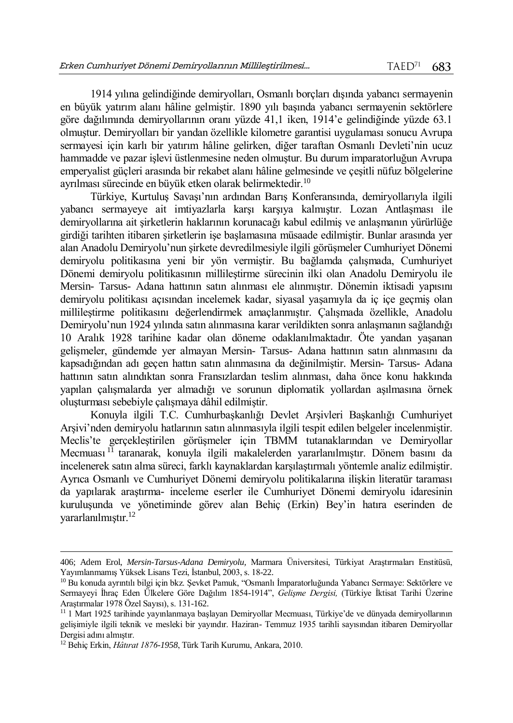1914 yılına gelindiğinde demiryolları, Osmanlı borçları dışında yabancı sermayenin en büyük yatırım alanı hâline gelmiştir. 1890 yılı başında yabancı sermayenin sektörlere göre dağılımında demiryollarının oranı yüzde 41,1 iken, 1914'e gelindiğinde yüzde 63.1 olmuştur. Demiryolları bir yandan özellikle kilometre garantisi uygulaması sonucu Avrupa sermayesi için karlı bir yatırım hâline gelirken, diğer taraftan Osmanlı Devleti'nin ucuz hammadde ve pazar işlevi üstlenmesine neden olmuştur. Bu durum imparatorluğun Avrupa emperyalist güçleri arasında bir rekabet alanı hâline gelmesinde ve çeşitli nüfuz bölgelerine ayrılması sürecinde en büyük etken olarak belirmektedir.<sup>10</sup>

Türkiye, Kurtuluş Savaşı'nın ardından Barış Konferansında, demiryollarıyla ilgili yabancı sermayeye ait imtiyazlarla karşı karşıya kalmıştır. Lozan Antlaşması ile demiryollarına ait şirketlerin haklarının korunacağı kabul edilmiş ve anlaşmanın yürürlüğe girdiği tarihten itibaren şirketlerin işe başlamasına müsaade edilmiştir. Bunlar arasında yer alan Anadolu Demiryolu'nun şirkete devredilmesiyle ilgili görüşmeler Cumhuriyet Dönemi demiryolu politikasına yeni bir yön vermiştir. Bu bağlamda çalışmada, Cumhuriyet Dönemi demiryolu politikasının millileştirme sürecinin ilki olan Anadolu Demiryolu ile Mersin- Tarsus- Adana hattının satın alınması ele alınmıştır. Dönemin iktisadi yapısını demiryolu politikası açısından incelemek kadar, siyasal yaşamıyla da iç içe geçmiş olan millileştirme politikasını değerlendirmek amaçlanmıştır. Çalışmada özellikle, Anadolu Demiryolu'nun 1924 yılında satın alınmasına karar verildikten sonra anlaşmanın sağlandığı 10 Aralık 1928 tarihine kadar olan döneme odaklanılmaktadır. Öte yandan yaşanan gelişmeler, gündemde yer almayan Mersin- Tarsus- Adana hattının satın alınmasını da kapsadığından adı geçen hattın satın alınmasına da değinilmiştir. Mersin- Tarsus- Adana hattının satın alındıktan sonra Fransızlardan teslim alınması, daha önce konu hakkında yapılan çalışmalarda yer almadığı ve sorunun diplomatik yollardan aşılmasına örnek oluşturması sebebiyle çalışmaya dâhil edilmiştir.

Konuyla ilgili T.C. Cumhurbaşkanlığı Devlet Arşivleri Başkanlığı Cumhuriyet Arşivi'nden demiryolu hatlarının satın alınmasıyla ilgili tespit edilen belgeler incelenmiştir. Meclis'te gerçekleştirilen görüşmeler için TBMM tutanaklarından ve Demiryollar Mecmuası <sup>11</sup> taranarak, konuyla ilgili makalelerden yararlanılmıştır. Dönem basını da incelenerek satın alma süreci, farklı kaynaklardan karşılaştırmalı yöntemle analiz edilmiştir. Ayrıca Osmanlı ve Cumhuriyet Dönemi demiryolu politikalarına ilişkin literatür taraması da yapılarak araştırma- inceleme eserler ile Cumhuriyet Dönemi demiryolu idaresinin kuruluşunda ve yönetiminde görev alan Behiç (Erkin) Bey'in hatıra eserinden de yararlanılmıştır.<sup>12</sup>

<sup>406;</sup> Adem Erol, *Mersin-Tarsus-Adana Demiryolu,* Marmara Üniversitesi, Türkiyat Araştırmaları Enstitüsü, Yayımlanmamış Yüksek Lisans Tezi, İstanbul, 2003, s. 18-22.

<sup>10</sup> Bu konuda ayrıntılı bilgi için bkz. Şevket Pamuk, "Osmanlı İmparatorluğunda Yabancı Sermaye: Sektörlere ve Sermayeyi İhraç Eden Ülkelere Göre Dağılım 1854-1914", *Gelişme Dergisi,* (Türkiye İktisat Tarihi Üzerine Araştırmalar 1978 Özel Sayısı), s. 131-162.

<sup>&</sup>lt;sup>11</sup> 1 Mart 1925 tarihinde yayınlanmaya başlayan Demiryollar Mecmuası, Türkiye'de ve dünyada demiryollarının gelişimiyle ilgili teknik ve mesleki bir yayındır. Haziran- Temmuz 1935 tarihli sayısından itibaren Demiryollar Dergisi adını almıştır.

<sup>12</sup> Behiç Erkin, *Hâtırat 1876-1958*, Türk Tarih Kurumu, Ankara, 2010.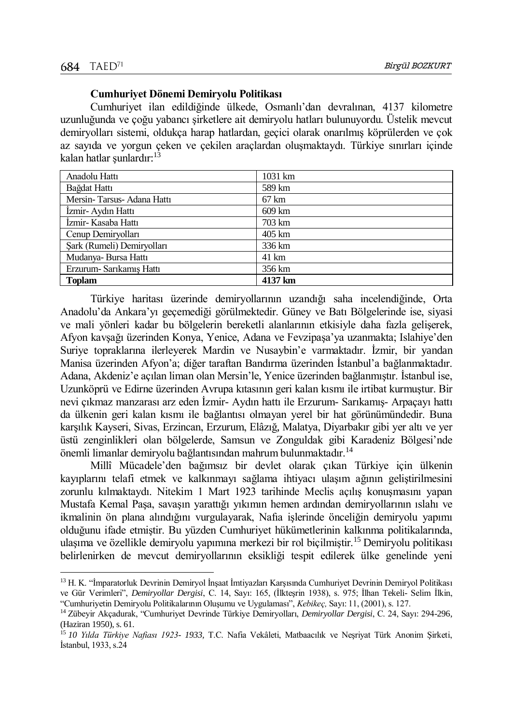$\overline{a}$ 

## **Cumhuriyet Dönemi Demiryolu Politikası**

Cumhuriyet ilan edildiğinde ülkede, Osmanlı'dan devralınan, 4137 kilometre uzunluğunda ve çoğu yabancı şirketlere ait demiryolu hatları bulunuyordu. Üstelik mevcut demiryolları sistemi, oldukça harap hatlardan, geçici olarak onarılmış köprülerden ve çok az sayıda ve yorgun çeken ve çekilen araçlardan oluşmaktaydı. Türkiye sınırları içinde kalan hatlar şunlardır: 13

| Anadolu Hattı              | 1031 km         |
|----------------------------|-----------------|
| Bağdat Hattı               | 589 km          |
| Mersin-Tarsus-Adana Hattı  | $67 \text{ km}$ |
| İzmir- Aydın Hattı         | 609 km          |
| İzmir- Kasaba Hattı        | 703 km          |
| Cenup Demiryolları         | 405 km          |
| Sark (Rumeli) Demiryolları | 336 km          |
| Mudanya-Bursa Hattı        | 41 km           |
| Erzurum- Sarıkamış Hattı   | 356 km          |
| <b>Toplam</b>              | 4137 km         |

Türkiye haritası üzerinde demiryollarının uzandığı saha incelendiğinde, Orta Anadolu'da Ankara'yı geçemediği görülmektedir. Güney ve Batı Bölgelerinde ise, siyasi ve mali yönleri kadar bu bölgelerin bereketli alanlarının etkisiyle daha fazla gelişerek, Afyon kavşağı üzerinden Konya, Yenice, Adana ve Fevzipaşa'ya uzanmakta; Islahiye'den Suriye topraklarına ilerleyerek Mardin ve Nusaybin'e varmaktadır. İzmir, bir yandan Manisa üzerinden Afyon'a; diğer taraftan Bandırma üzerinden İstanbul'a bağlanmaktadır. Adana, Akdeniz'e açılan liman olan Mersin'le, Yenice üzerinden bağlanmıştır. İstanbul ise, Uzunköprü ve Edirne üzerinden Avrupa kıtasının geri kalan kısmı ile irtibat kurmuştur. Bir nevi çıkmaz manzarası arz eden İzmir- Aydın hattı ile Erzurum- Sarıkamış- Arpaçayı hattı da ülkenin geri kalan kısmı ile bağlantısı olmayan yerel bir hat görünümündedir. Buna karşılık Kayseri, Sivas, Erzincan, Erzurum, Elâzığ, Malatya, Diyarbakır gibi yer altı ve yer üstü zenginlikleri olan bölgelerde, Samsun ve Zonguldak gibi Karadeniz Bölgesi'nde önemli limanlar demiryolu bağlantısından mahrum bulunmaktadır.<sup>14</sup>

Millî Mücadele'den bağımsız bir devlet olarak çıkan Türkiye için ülkenin kayıplarını telafi etmek ve kalkınmayı sağlama ihtiyacı ulaşım ağının geliştirilmesini zorunlu kılmaktaydı. Nitekim 1 Mart 1923 tarihinde Meclis açılış konuşmasını yapan Mustafa Kemal Paşa, savaşın yarattığı yıkımın hemen ardından demiryollarının ıslahı ve ikmalinin ön plana alındığını vurgulayarak, Nafıa işlerinde önceliğin demiryolu yapımı olduğunu ifade etmiştir. Bu yüzden Cumhuriyet hükümetlerinin kalkınma politikalarında, ulaşıma ve özellikle demiryolu yapımına merkezi bir rol biçilmiştir.<sup>15</sup> Demiryolu politikası belirlenirken de mevcut demiryollarının eksikliği tespit edilerek ülke genelinde yeni

<sup>&</sup>lt;sup>13</sup> H. K. "İmparatorluk Devrinin Demiryol İnsaat İmtiyazları Karsısında Cumhuriyet Devrinin Demiryol Politikası ve Gür Verimleri", *Demiryollar Dergisi*, C. 14, Sayı: 165, (İlkteşrin 1938), s. 975; İlhan Tekeli- Selim İlkin, "Cumhuriyetin Demiryolu Politikalarının Oluşumu ve Uygulaması", *Kebikeç,* Sayı: 11, (2001), s. 127.

<sup>14</sup> Zübeyir Akçadurak, "Cumhuriyet Devrinde Türkiye Demiryolları, *Demiryollar Dergisi*, C. 24, Sayı: 294-296, (Haziran 1950), s. 61.

<sup>15</sup> *10 Yılda Türkiye Nafiası 1923- 1933,* T.C. Nafia Vekâleti, Matbaacılık ve Neşriyat Türk Anonim Şirketi, İstanbul, 1933, s.24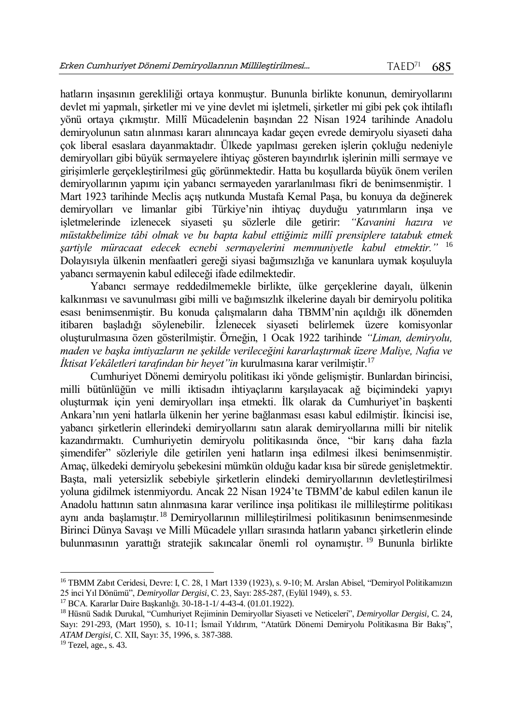hatların inşasının gerekliliği ortaya konmuştur. Bununla birlikte konunun, demiryollarını devlet mi yapmalı, şirketler mi ve yine devlet mi işletmeli, şirketler mi gibi pek çok ihtilaflı yönü ortaya çıkmıştır. Millî Mücadelenin başından 22 Nisan 1924 tarihinde Anadolu demiryolunun satın alınması kararı alınıncaya kadar geçen evrede demiryolu siyaseti daha çok liberal esaslara dayanmaktadır. Ülkede yapılması gereken işlerin çokluğu nedeniyle demiryolları gibi büyük sermayelere ihtiyaç gösteren bayındırlık işlerinin milli sermaye ve girişimlerle gerçekleştirilmesi güç görünmektedir. Hatta bu koşullarda büyük önem verilen demiryollarının yapımı için yabancı sermayeden yararlanılması fikri de benimsenmiştir. 1 Mart 1923 tarihinde Meclis açış nutkunda Mustafa Kemal Paşa, bu konuya da değinerek demiryolları ve limanlar gibi Türkiye'nin ihtiyaç duyduğu yatırımların inşa ve işletmelerinde izlenecek siyaseti şu sözlerle dile getirir: *"Kavanini hazıra ve müstakbelimize tâbi olmak ve bu bapta kabul ettiğimiz millî prensiplere tatabuk etmek şartiyle müracaat edecek ecnebi sermayelerini memnuniyetle kabul etmektir."* <sup>16</sup> Dolayısıyla ülkenin menfaatleri gereği siyasi bağımsızlığa ve kanunlara uymak koşuluyla yabancı sermayenin kabul edileceği ifade edilmektedir.

Yabancı sermaye reddedilmemekle birlikte, ülke gerçeklerine dayalı, ülkenin kalkınması ve savunulması gibi milli ve bağımsızlık ilkelerine dayalı bir demiryolu politika esası benimsenmiştir. Bu konuda çalışmaların daha TBMM'nin açıldığı ilk dönemden itibaren başladığı söylenebilir. İzlenecek siyaseti belirlemek üzere komisyonlar oluşturulmasına özen gösterilmiştir. Örneğin, 1 Ocak 1922 tarihinde *"Liman, demiryolu, maden ve başka imtiyazların ne şekilde verileceğini kararlaştırmak üzere Maliye, Nafıa ve İktisat Vekâletleri tarafından bir heyet"in* kurulmasına karar verilmiştir.<sup>17</sup>

Cumhuriyet Dönemi demiryolu politikası iki yönde gelişmiştir. Bunlardan birincisi, milli bütünlüğün ve milli iktisadın ihtiyaçlarını karşılayacak ağ biçimindeki yapıyı oluşturmak için yeni demiryolları inşa etmekti. İlk olarak da Cumhuriyet'in başkenti Ankara'nın yeni hatlarla ülkenin her yerine bağlanması esası kabul edilmiştir. İkincisi ise, yabancı şirketlerin ellerindeki demiryollarını satın alarak demiryollarına milli bir nitelik kazandırmaktı. Cumhuriyetin demiryolu politikasında önce, "bir karış daha fazla şimendifer" sözleriyle dile getirilen yeni hatların inşa edilmesi ilkesi benimsenmiştir. Amaç, ülkedeki demiryolu şebekesini mümkün olduğu kadar kısa bir sürede genişletmektir. Başta, mali yetersizlik sebebiyle şirketlerin elindeki demiryollarının devletleştirilmesi yoluna gidilmek istenmiyordu. Ancak 22 Nisan 1924'te TBMM'de kabul edilen kanun ile Anadolu hattının satın alınmasına karar verilince inşa politikası ile millileştirme politikası aynı anda başlamıştır.<sup>18</sup> Demiryollarının millileştirilmesi politikasının benimsenmesinde Birinci Dünya Savaşı ve Milli Mücadele yılları sırasında hatların yabancı şirketlerin elinde bulunmasının yarattığı stratejik sakıncalar önemli rol oynamıştır. <sup>19</sup> Bununla birlikte

<sup>16</sup> TBMM Zabıt Ceridesi, Devre: I, C. 28, 1 Mart 1339 (1923), s. 9-10; M. Arslan Abisel, "Demiryol Politikamızın 25 inci Yıl Dönümü", *Demiryollar Dergisi*, C. 23, Sayı: 285-287, (Eylül 1949), s. 53.

<sup>17</sup> BCA. Kararlar Daire Başkanlığı. 30-18-1-1/ 4-43-4. (01.01.1922).

<sup>18</sup> Hüsnü Sadık Durukal, "Cumhuriyet Rejiminin Demiryollar Siyaseti ve Neticeleri", *Demiryollar Dergisi*, C. 24, Sayı: 291-293, (Mart 1950), s. 10-11; İsmail Yıldırım, "Atatürk Dönemi Demiryolu Politikasına Bir Bakış", *ATAM Dergisi,* C. XII, Sayı: 35, 1996, s. 387-388.

 $19$  Tezel, age., s. 43.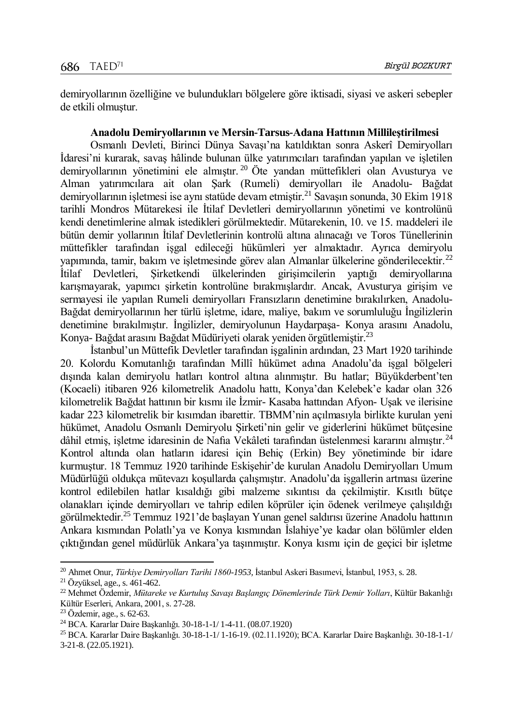demiryollarının özelliğine ve bulundukları bölgelere göre iktisadi, siyasi ve askeri sebepler de etkili olmuştur.

#### **Anadolu Demiryollarının ve Mersin-Tarsus-Adana Hattının Millileştirilmesi**

Osmanlı Devleti, Birinci Dünya Savaşı'na katıldıktan sonra Askerî Demiryolları İdaresi'ni kurarak, savaş hâlinde bulunan ülke yatırımcıları tarafından yapılan ve işletilen demiryollarının yönetimini ele almıştır. <sup>20</sup> Öte yandan müttefikleri olan Avusturya ve Alman yatırımcılara ait olan Şark (Rumeli) demiryolları ile Anadolu- Bağdat demiryollarının isletmesi ise aynı statüde devam etmiştir.<sup>21</sup> Savasın sonunda, 30 Ekim 1918 tarihli Mondros Mütarekesi ile İtilaf Devletleri demiryollarının yönetimi ve kontrolünü kendi denetimlerine almak istedikleri görülmektedir. Mütarekenin, 10. ve 15. maddeleri ile bütün demir yollarının İtilaf Devletlerinin kontrolü altına alınacağı ve Toros Tünellerinin müttefikler tarafından işgal edileceği hükümleri yer almaktadır. Ayrıca demiryolu yapımında, tamir, bakım ve işletmesinde görev alan Almanlar ülkelerine gönderilecektir.<sup>22</sup> İtilaf Devletleri, Şirketkendi ülkelerinden girişimcilerin yaptığı demiryollarına karışmayarak, yapımcı şirketin kontrolüne bırakmışlardır. Ancak, Avusturya girişim ve sermayesi ile yapılan Rumeli demiryolları Fransızların denetimine bırakılırken, Anadolu-Bağdat demiryollarının her türlü işletme, idare, maliye, bakım ve sorumluluğu İngilizlerin denetimine bırakılmıştır. İngilizler, demiryolunun Haydarpaşa- Konya arasını Anadolu, Konya- Bağdat arasını Bağdat Müdüriyeti olarak yeniden örgütlemiştir.<sup>23</sup>

İstanbul'un Müttefik Devletler tarafından işgalinin ardından, 23 Mart 1920 tarihinde 20. Kolordu Komutanlığı tarafından Millî hükümet adına Anadolu'da işgal bölgeleri dışında kalan demiryolu hatları kontrol altına alınmıştır. Bu hatlar; Büyükderbent'ten (Kocaeli) itibaren 926 kilometrelik Anadolu hattı, Konya'dan Kelebek'e kadar olan 326 kilometrelik Bağdat hattının bir kısmı ile İzmir- Kasaba hattından Afyon- Uşak ve ilerisine kadar 223 kilometrelik bir kısımdan ibarettir. TBMM'nin açılmasıyla birlikte kurulan yeni hükümet, Anadolu Osmanlı Demiryolu Şirketi'nin gelir ve giderlerini hükümet bütçesine dâhil etmiş, işletme idaresinin de Nafia Vekâleti tarafından üstelenmesi kararını almıştır.<sup>24</sup> Kontrol altında olan hatların idaresi için Behiç (Erkin) Bey yönetiminde bir idare kurmuştur. 18 Temmuz 1920 tarihinde Eskişehir'de kurulan Anadolu Demiryolları Umum Müdürlüğü oldukça mütevazı koşullarda çalışmıştır. Anadolu'da işgallerin artması üzerine kontrol edilebilen hatlar kısaldığı gibi malzeme sıkıntısı da çekilmiştir. Kısıtlı bütçe olanakları içinde demiryolları ve tahrip edilen köprüler için ödenek verilmeye çalışıldığı görülmektedir.<sup>25</sup> Temmuz 1921'de başlayan Yunan genel saldırısı üzerine Anadolu hattının Ankara kısmından Polatlı'ya ve Konya kısmından İslahiye'ye kadar olan bölümler elden çıktığından genel müdürlük Ankara'ya taşınmıştır. Konya kısmı için de geçici bir işletme

l <sup>20</sup> Ahmet Onur, *Türkiye Demiryolları Tarihi 1860-1953,* İstanbul Askeri Basımevi, İstanbul, 1953, s. 28.

<sup>21</sup> Özyüksel, age., s. 461-462.

<sup>22</sup> Mehmet Özdemir, *Mütareke ve Kurtuluş Savaşı Başlangıç Dönemlerinde Türk Demir Yolları*, Kültür Bakanlığı Kültür Eserleri, Ankara, 2001, s. 27-28.

<sup>23</sup> Özdemir, age., s. 62-63.

<sup>24</sup> BCA. Kararlar Daire Başkanlığı. 30-18-1-1/ 1-4-11. (08.07.1920)

<sup>25</sup> BCA. Kararlar Daire Başkanlığı. 30-18-1-1/ 1-16-19. (02.11.1920); BCA. Kararlar Daire Başkanlığı. 30-18-1-1/ 3-21-8. (22.05.1921).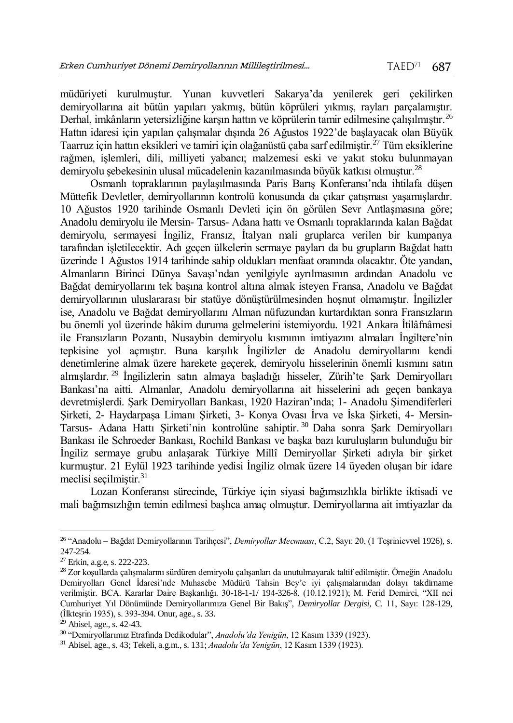müdüriyeti kurulmuştur. Yunan kuvvetleri Sakarya'da yenilerek geri çekilirken demiryollarına ait bütün yapıları yakmış, bütün köprüleri yıkmış, rayları parçalamıştır. Derhal, imkânların yetersizliğine karşın hattın ve köprülerin tamir edilmesine çalışılmıştır.<sup>26</sup> Hattın idaresi için yapılan çalışmalar dışında 26 Ağustos 1922'de başlayacak olan Büyük Taarruz için hattın eksikleri ve tamiri için olağanüstü çaba sarf edilmiştir.<sup>27</sup> Tüm eksiklerine rağmen, işlemleri, dili, milliyeti yabancı; malzemesi eski ve yakıt stoku bulunmayan demiryolu şebekesinin ulusal mücadelenin kazanılmasında büyük katkısı olmuştur.<sup>28</sup>

Osmanlı topraklarının paylaşılmasında Paris Barış Konferansı'nda ihtilafa düşen Müttefik Devletler, demiryollarının kontrolü konusunda da çıkar çatışması yaşamışlardır. 10 Ağustos 1920 tarihinde Osmanlı Devleti için ön görülen Sevr Antlaşmasına göre; Anadolu demiryolu ile Mersin- Tarsus- Adana hattı ve Osmanlı topraklarında kalan Bağdat demiryolu, sermayesi İngiliz, Fransız, İtalyan mali gruplarca verilen bir kumpanya tarafından işletilecektir. Adı geçen ülkelerin sermaye payları da bu grupların Bağdat hattı üzerinde 1 Ağustos 1914 tarihinde sahip oldukları menfaat oranında olacaktır. Öte yandan, Almanların Birinci Dünya Savaşı'ndan yenilgiyle ayrılmasının ardından Anadolu ve Bağdat demiryollarını tek başına kontrol altına almak isteyen Fransa, Anadolu ve Bağdat demiryollarının uluslararası bir statüye dönüştürülmesinden hoşnut olmamıştır. İngilizler ise, Anadolu ve Bağdat demiryollarını Alman nüfuzundan kurtardıktan sonra Fransızların bu önemli yol üzerinde hâkim duruma gelmelerini istemiyordu. 1921 Ankara İtilâfnâmesi ile Fransızların Pozantı, Nusaybin demiryolu kısmının imtiyazını almaları İngiltere'nin tepkisine yol açmıştır. Buna karşılık İngilizler de Anadolu demiryollarını kendi denetimlerine almak üzere harekete geçerek, demiryolu hisselerinin önemli kısmını satın almışlardır. <sup>29</sup> İngilizlerin satın almaya başladığı hisseler, Zürih'te Şark Demiryolları Bankası'na aitti. Almanlar, Anadolu demiryollarına ait hisselerini adı geçen bankaya devretmişlerdi. Şark Demiryolları Bankası, 1920 Haziran'ında; 1- Anadolu Şimendiferleri Şirketi, 2- Haydarpaşa Limanı Şirketi, 3- Konya Ovası İrva ve İska Şirketi, 4- Mersin-Tarsus- Adana Hattı Şirketi'nin kontrolüne sahiptir. <sup>30</sup> Daha sonra Şark Demiryolları Bankası ile Schroeder Bankası, Rochild Bankası ve başka bazı kuruluşların bulunduğu bir İngiliz sermaye grubu anlaşarak Türkiye Millî Demiryollar Şirketi adıyla bir şirket kurmuştur. 21 Eylül 1923 tarihinde yedisi İngiliz olmak üzere 14 üyeden oluşan bir idare meclisi seçilmiştir. $31$ 

Lozan Konferansı sürecinde, Türkiye için siyasi bağımsızlıkla birlikte iktisadi ve mali bağımsızlığın temin edilmesi başlıca amaç olmuştur. Demiryollarına ait imtiyazlar da

l

<sup>26</sup> "Anadolu – Bağdat Demiryollarının Tarihçesi", *Demiryollar Mecmuası*, C.2, Sayı: 20, (1 Teşrinievvel 1926), s. 247-254.

 $27 \text{ Erkin}, \text{a.g.e}, \text{s. 222-223}.$ 

<sup>28</sup> Zor koşullarda çalışmalarını sürdüren demiryolu çalışanları da unutulmayarak taltif edilmiştir. Örneğin Anadolu Demiryolları Genel İdaresi'nde Muhasebe Müdürü Tahsin Bey'e iyi çalışmalarından dolayı takdirname verilmiştir. BCA. Kararlar Daire Başkanlığı. 30-18-1-1/ 194-326-8. (10.12.1921); M. Ferid Demirci, "XII nci Cumhuriyet Yıl Dönümünde Demiryollarımıza Genel Bir Bakış", *Demiryollar Dergisi,* C. 11, Sayı: 128-129, (İlkteşrin 1935), s. 393-394. Onur, age., s. 33.

 $29$  Abisel, age., s. 42-43.

<sup>30</sup> "Demiryollarımız Etrafında Dedikodular", *Anadolu'da Yenigün*, 12 Kasım 1339 (1923).

<sup>31</sup> Abisel, age., s. 43; Tekeli, a.g.m., s. 131; *Anadolu'da Yenigün*, 12 Kasım 1339 (1923).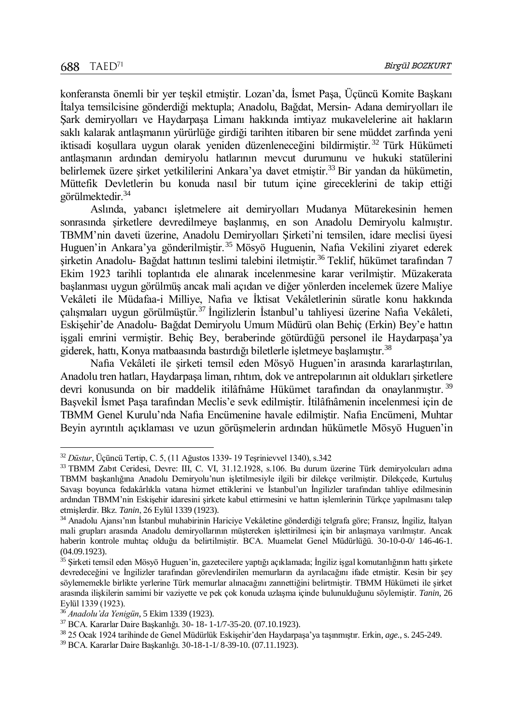$\overline{a}$ 

konferansta önemli bir yer teşkil etmiştir. Lozan'da, İsmet Paşa, Üçüncü Komite Başkanı İtalya temsilcisine gönderdiği mektupla; Anadolu, Bağdat, Mersin- Adana demiryolları ile Şark demiryolları ve Haydarpaşa Limanı hakkında imtiyaz mukavelelerine ait hakların saklı kalarak antlaşmanın yürürlüğe girdiği tarihten itibaren bir sene müddet zarfında yeni iktisadi koşullara uygun olarak yeniden düzenleneceğini bildirmiştir. <sup>32</sup> Türk Hükümeti antlaşmanın ardından demiryolu hatlarının mevcut durumunu ve hukuki statülerini belirlemek üzere şirket yetkililerini Ankara'ya davet etmiştir.<sup>33</sup> Bir yandan da hükümetin, Müttefik Devletlerin bu konuda nasıl bir tutum içine gireceklerini de takip ettiği görülmektedir.<sup>34</sup>

Aslında, yabancı işletmelere ait demiryolları Mudanya Mütarekesinin hemen sonrasında şirketlere devredilmeye başlanmış, en son Anadolu Demiryolu kalmıştır. TBMM'nin daveti üzerine, Anadolu Demiryolları Şirketi'ni temsilen, idare meclisi üyesi Huguen'in Ankara'ya gönderilmiştir.<sup>35</sup> Mösyö Huguenin, Nafıa Vekilini ziyaret ederek sirketin Anadolu- Bağdat hattının teslimi talebini iletmiştir.<sup>36</sup> Teklif, hükümet tarafından 7 Ekim 1923 tarihli toplantıda ele alınarak incelenmesine karar verilmiştir. Müzakerata başlanması uygun görülmüş ancak mali açıdan ve diğer yönlerden incelemek üzere Maliye Vekâleti ile Müdafaa-i Milliye, Nafıa ve İktisat Vekâletlerinin süratle konu hakkında çalışmaları uygun görülmüştür.<sup>37</sup> İngilizlerin İstanbul'u tahliyesi üzerine Nafıa Vekâleti, Eskişehir'de Anadolu- Bağdat Demiryolu Umum Müdürü olan Behiç (Erkin) Bey'e hattın işgali emrini vermiştir. Behiç Bey, beraberinde götürdüğü personel ile Haydarpaşa'ya giderek, hattı, Konya matbaasında bastırdığı biletlerle işletmeye başlamıştır.<sup>38</sup>

Nafıa Vekâleti ile şirketi temsil eden Mösyö Huguen'in arasında kararlaştırılan, Anadolu tren hatları, Haydarpaşa liman, rıhtım, dok ve antrepolarının ait oldukları şirketlere devri konusunda on bir maddelik itilâfnâme Hükümet tarafından da onaylanmıştır.<sup>39</sup> Başvekil İsmet Paşa tarafından Meclis'e sevk edilmiştir. İtilâfnâmenin incelenmesi için de TBMM Genel Kurulu'nda Nafıa Encümenine havale edilmiştir. Nafıa Encümeni, Muhtar Beyin ayrıntılı açıklaması ve uzun görüşmelerin ardından hükümetle Mösyö Huguen'in

<sup>32</sup> *Düstur*, Üçüncü Tertip, C. 5, (11 Ağustos 1339- 19 Teşrinievvel 1340), s.342

<sup>33</sup> TBMM Zabıt Ceridesi, Devre: III, C. VI, 31.12.1928, s.106. Bu durum üzerine Türk demiryolcuları adına TBMM başkanlığına Anadolu Demiryolu'nun işletilmesiyle ilgili bir dilekçe verilmiştir. Dilekçede, Kurtuluş Savaşı boyunca fedakârlıkla vatana hizmet ettiklerini ve İstanbul'un İngilizler tarafından tahliye edilmesinin ardından TBMM'nin Eskişehir idaresini şirkete kabul ettirmesini ve hattın işlemlerinin Türkçe yapılmasını talep etmişlerdir. Bkz. *Tanin*, 26 Eylül 1339 (1923).

<sup>34</sup> Anadolu Ajansı'nın İstanbul muhabirinin Hariciye Vekâletine gönderdiği telgrafa göre; Fransız, İngiliz, İtalyan mali grupları arasında Anadolu demiryollarının müştereken işlettirilmesi için bir anlaşmaya varılmıştır. Ancak haberin kontrole muhtaç olduğu da belirtilmiştir. BCA. Muamelat Genel Müdürlüğü. 30-10-0-0/ 146-46-1. (04.09.1923).

<sup>&</sup>lt;sup>35</sup> Şirketi temsil eden Mösyö Huguen'in, gazetecilere yaptığı açıklamada; İngiliz işgal komutanlığının hattı şirkete devredeceğini ve İngilizler tarafından görevlendirilen memurların da ayrılacağını ifade etmiştir. Kesin bir şey söylememekle birlikte yerlerine Türk memurlar alınacağını zannettiğini belirtmiştir. TBMM Hükümeti ile şirket arasında ilişkilerin samimi bir vaziyette ve pek çok konuda uzlaşma içinde bulunulduğunu söylemiştir. *Tanin*, 26 Eylül 1339 (1923).

<sup>36</sup> *Anadolu'da Yenigün*, 5 Ekim 1339 (1923).

<sup>37</sup> BCA. Kararlar Daire Başkanlığı. 30- 18- 1-1/7-35-20. (07.10.1923).

<sup>38</sup> 25 Ocak 1924 tarihinde de Genel Müdürlük Eskişehir'den Haydarpaşa'ya taşınmıştır. Erkin, *age.,* s. 245-249.

<sup>39</sup> BCA. Kararlar Daire Başkanlığı. 30-18-1-1/ 8-39-10. (07.11.1923).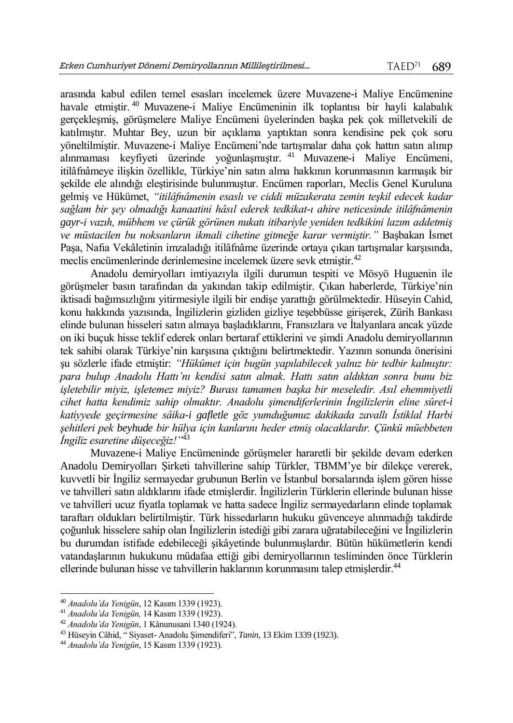arasında kabul edilen temel esasları incelemek üzere Muvazene-i Maliye Encümenine havale etmiştir. <sup>40</sup> Muvazene-i Maliye Encümeninin ilk toplantısı bir hayli kalabalık gerçekleşmiş, görüşmelere Maliye Encümeni üyelerinden başka pek çok milletvekili de katılmıştır. Muhtar Bey, uzun bir açıklama yaptıktan sonra kendisine pek çok soru yöneltilmiştir. Muvazene-i Maliye Encümeni'nde tartışmalar daha çok hattın satın alınıp alınmaması keyfiyeti üzerinde yoğunlaşmıştır. <sup>41</sup> Muvazene-i Maliye Encümeni, itilâfnâmeye ilişkin özellikle, Türkiye'nin satın alma hakkının korunmasının karmaşık bir şekilde ele alındığı eleştirisinde bulunmuştur. Encümen raporları, Meclis Genel Kuruluna gelmiş ve Hükümet, *"itilâfnâmenin esaslı ve ciddi müzakerata zemin teşkil edecek kadar sağlam bir şey olmadığı kanaatini hâsıl ederek tedkikat-ı ahire neticesinde itilâfnâmenin gayr-i vazıh, mübhem ve çürük görünen nukatı itibariyle yeniden tedkikini lazım addetmiş ve müstacilen bu noksanların ikmali cihetine gitmeğe karar vermiştir."* Başbakan İsmet Paşa, Nafıa Vekâletinin imzaladığı itilâfnâme üzerinde ortaya çıkan tartışmalar karşısında, meclis encümenlerinde derinlemesine incelemek üzere sevk etmiştir.<sup>42</sup>

Anadolu demiryolları imtiyazıyla ilgili durumun tespiti ve Mösyö Huguenin ile görüşmeler basın tarafından da yakından takip edilmiştir. Çıkan haberlerde, Türkiye'nin iktisadi bağımsızlığını yitirmesiyle ilgili bir endişe yarattığı görülmektedir. Hüseyin Cahid, konu hakkında yazısında, İngilizlerin gizliden gizliye teşebbüsse girişerek, Zürih Bankası elinde bulunan hisseleri satın almaya başladıklarını, Fransızlara ve İtalyanlara ancak yüzde on iki buçuk hisse teklif ederek onları bertaraf ettiklerini ve şimdi Anadolu demiryollarının tek sahibi olarak Türkiye'nin karşısına çıktığını belirtmektedir. Yazının sonunda önerisini şu sözlerle ifade etmiştir: *"Hükûmet için bugün yapılabilecek yalnız bir tedbir kalmıştır: para bulup Anadolu Hattı'nı kendisi satın almak. Hattı satın aldıktan sonra bunu biz işletebilir miyiz, işletemez miyiz? Burası tamamen başka bir meseledir. Asıl ehemmiyetli cihet hatta kendimiz sahip olmaktır. Anadolu şimendiferlerinin İngilizlerin eline sûret-i katiyyede geçirmesine sâika-i gafletle göz yumduğumuz dakikada zavallı İstiklal Harbi şehitleri pek beyhude bir hülya için kanlarını heder etmiş olacaklardır. Çünkü müebbeten İngiliz esaretine düşeceğiz!"*<sup>43</sup>

Muvazene-i Maliye Encümeninde görüşmeler hararetli bir şekilde devam ederken Anadolu Demiryolları Şirketi tahvillerine sahip Türkler, TBMM'ye bir dilekçe vererek, kuvvetli bir İngiliz sermayedar grubunun Berlin ve İstanbul borsalarında işlem gören hisse ve tahvilleri satın aldıklarını ifade etmişlerdir. İngilizlerin Türklerin ellerinde bulunan hisse ve tahvilleri ucuz fiyatla toplamak ve hatta sadece İngiliz sermayedarların elinde toplamak taraftarı oldukları belirtilmiştir. Türk hissedarların hukuku güvenceye alınmadığı takdirde çoğunluk hisselere sahip olan İngilizlerin istediği gibi zarara uğratabileceğini ve İngilizlerin bu durumdan istifade edebileceği şikâyetinde bulunmuşlardır. Bütün hükümetlerin kendi vatandaşlarının hukukunu müdafaa ettiği gibi demiryollarının tesliminden önce Türklerin ellerinde bulunan hisse ve tahvillerin haklarının korunmasını talep etmişlerdir.<sup>44</sup>

 $\overline{a}$ <sup>40</sup> *Anadolu'da Yenigün*, 12 Kasım 1339 (1923).

<sup>41</sup> *Anadolu'da Yenigün,* 14 Kasım 1339 (1923).

<sup>42</sup> *Anadolu'da Yenigün*, 1 Kânunusani 1340 (1924).

<sup>43</sup> Hüseyin Câhid, " Siyaset- Anadolu Şimendiferi", *Tanin*, 13 Ekim 1339 (1923).

<sup>44</sup> *Anadolu'da Yenigün*, 15 Kasım 1339 (1923).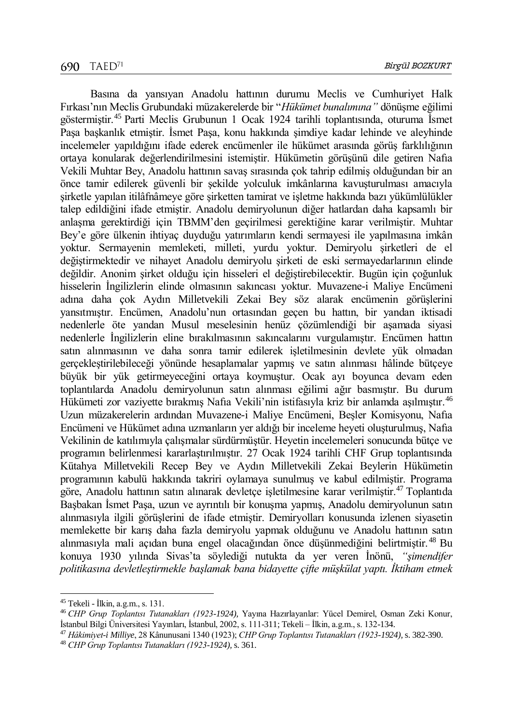Basına da yansıyan Anadolu hattının durumu Meclis ve Cumhuriyet Halk Fırkası'nın Meclis Grubundaki müzakerelerde bir "*Hükümet bunalımına"* dönüşme eğilimi göstermiştir.<sup>45</sup> Parti Meclis Grubunun 1 Ocak 1924 tarihli toplantısında, oturuma İsmet Paşa başkanlık etmiştir. İsmet Paşa, konu hakkında şimdiye kadar lehinde ve aleyhinde incelemeler yapıldığını ifade ederek encümenler ile hükümet arasında görüş farklılığının ortaya konularak değerlendirilmesini istemiştir. Hükümetin görüşünü dile getiren Nafıa Vekili Muhtar Bey, Anadolu hattının savaş sırasında çok tahrip edilmiş olduğundan bir an önce tamir edilerek güvenli bir şekilde yolculuk imkânlarına kavuşturulması amacıyla şirketle yapılan itilâfnâmeye göre şirketten tamirat ve işletme hakkında bazı yükümlülükler talep edildiğini ifade etmiştir. Anadolu demiryolunun diğer hatlardan daha kapsamlı bir anlaşma gerektirdiği için TBMM'den geçirilmesi gerektiğine karar verilmiştir. Muhtar Bey'e göre ülkenin ihtiyaç duyduğu yatırımların kendi sermayesi ile yapılmasına imkân yoktur. Sermayenin memleketi, milleti, yurdu yoktur. Demiryolu şirketleri de el değiştirmektedir ve nihayet Anadolu demiryolu şirketi de eski sermayedarlarının elinde değildir. Anonim şirket olduğu için hisseleri el değiştirebilecektir. Bugün için çoğunluk hisselerin İngilizlerin elinde olmasının sakıncası yoktur. Muvazene-i Maliye Encümeni adına daha çok Aydın Milletvekili Zekai Bey söz alarak encümenin görüşlerini yansıtmıştır. Encümen, Anadolu'nun ortasından geçen bu hattın, bir yandan iktisadi nedenlerle öte yandan Musul meselesinin henüz çözümlendiği bir aşamada siyasi nedenlerle İngilizlerin eline bırakılmasının sakıncalarını vurgulamıştır. Encümen hattın satın alınmasının ve daha sonra tamir edilerek işletilmesinin devlete yük olmadan gerçekleştirilebileceği yönünde hesaplamalar yapmış ve satın alınması hâlinde bütçeye büyük bir yük getirmeyeceğini ortaya koymuştur. Ocak ayı boyunca devam eden toplantılarda Anadolu demiryolunun satın alınması eğilimi ağır basmıştır. Bu durum Hükümeti zor vaziyette bırakmış Nafıa Vekili'nin istifasıyla kriz bir anlamda aşılmıştır.<sup>46</sup> Uzun müzakerelerin ardından Muvazene-i Maliye Encümeni, Beşler Komisyonu, Nafıa Encümeni ve Hükümet adına uzmanların yer aldığı bir inceleme heyeti oluşturulmuş, Nafıa Vekilinin de katılımıyla çalışmalar sürdürmüştür. Heyetin incelemeleri sonucunda bütçe ve programın belirlenmesi kararlaştırılmıştır. 27 Ocak 1924 tarihli CHF Grup toplantısında Kütahya Milletvekili Recep Bey ve Aydın Milletvekili Zekai Beylerin Hükümetin programının kabulü hakkında takriri oylamaya sunulmuş ve kabul edilmiştir. Programa göre, Anadolu hattının satın alınarak devletçe işletilmesine karar verilmiştir.<sup>47</sup> Toplantıda Başbakan İsmet Paşa, uzun ve ayrıntılı bir konuşma yapmış, Anadolu demiryolunun satın alınmasıyla ilgili görüşlerini de ifade etmiştir. Demiryolları konusunda izlenen siyasetin memlekette bir karış daha fazla demiryolu yapmak olduğunu ve Anadolu hattının satın alınmasıyla mali açıdan buna engel olacağından önce düşünmediğini belirtmiştir. <sup>48</sup> Bu konuya 1930 yılında Sivas'ta söylediği nutukta da yer veren İnönü, *"şimendifer politikasına devletleştirmekle başlamak bana bidayette çifte müşkülat yaptı. İktiham etmek* 

<sup>45</sup> Tekeli - İlkin, a.g.m., s. 131.

<sup>46</sup> *CHP Grup Toplantısı Tutanakları (1923-1924),* Yayına Hazırlayanlar: Yücel Demirel, Osman Zeki Konur, İstanbul Bilgi Üniversitesi Yayınları, İstanbul, 2002, s. 111-311; Tekeli – İlkin, a.g.m., s. 132-134.

<sup>47</sup> *Hâkimiyet-i Milliye*, 28 Kânunusani 1340 (1923); *CHP Grup Toplantısı Tutanakları (1923-1924),* s. 382-390.

<sup>48</sup> *CHP Grup Toplantısı Tutanakları (1923-1924),* s. 361.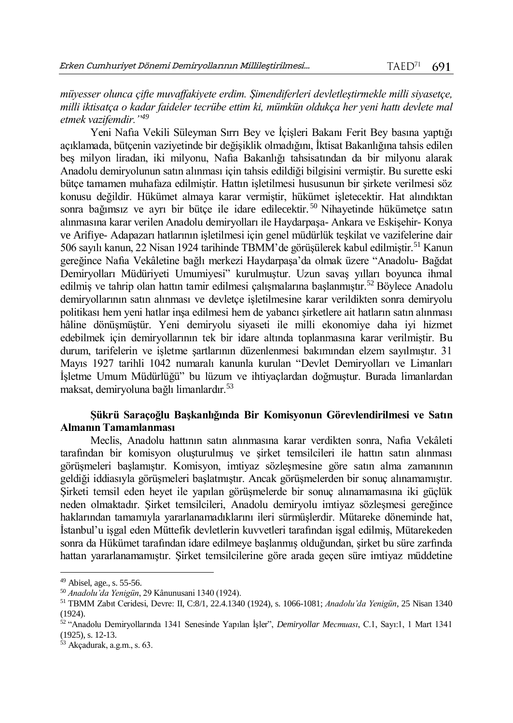*müyesser olunca çifte muvaffakiyete erdim. Şimendiferleri devletleştirmekle milli siyasetçe, milli iktisatça o kadar faideler tecrübe ettim ki, mümkün oldukça her yeni hattı devlete mal etmek vazifemdir."<sup>49</sup>*

Yeni Nafıa Vekili Süleyman Sırrı Bey ve İçişleri Bakanı Ferit Bey basına yaptığı açıklamada, bütçenin vaziyetinde bir değişiklik olmadığını, İktisat Bakanlığına tahsis edilen beş milyon liradan, iki milyonu, Nafıa Bakanlığı tahsisatından da bir milyonu alarak Anadolu demiryolunun satın alınması için tahsis edildiği bilgisini vermiştir. Bu surette eski bütçe tamamen muhafaza edilmiştir. Hattın işletilmesi hususunun bir şirkete verilmesi söz konusu değildir. Hükümet almaya karar vermiştir, hükümet işletecektir. Hat alındıktan sonra bağımsız ve ayrı bir bütce ile idare edilecektir.<sup>50</sup> Nihayetinde hükümetce satın alınmasına karar verilen Anadolu demiryolları ile Haydarpaşa- Ankara ve Eskişehir- Konya ve Arifiye- Adapazarı hatlarının işletilmesi için genel müdürlük teşkilat ve vazifelerine dair 506 sayılı kanun, 22 Nisan 1924 tarihinde TBMM'de görüşülerek kabul edilmiştir.<sup>51</sup> Kanun gereğince Nafıa Vekâletine bağlı merkezi Haydarpaşa'da olmak üzere "Anadolu- Bağdat Demiryolları Müdüriyeti Umumiyesi" kurulmuştur. Uzun savaş yılları boyunca ihmal edilmiş ve tahrip olan hattın tamir edilmesi çalışmalarına başlanmıştır.<sup>52</sup> Böylece Anadolu demiryollarının satın alınması ve devletçe işletilmesine karar verildikten sonra demiryolu politikası hem yeni hatlar inşa edilmesi hem de yabancı şirketlere ait hatların satın alınması hâline dönüşmüştür. Yeni demiryolu siyaseti ile milli ekonomiye daha iyi hizmet edebilmek için demiryollarının tek bir idare altında toplanmasına karar verilmiştir. Bu durum, tarifelerin ve işletme şartlarının düzenlenmesi bakımından elzem sayılmıştır. 31 Mayıs 1927 tarihli 1042 numaralı kanunla kurulan "Devlet Demiryolları ve Limanları İşletme Umum Müdürlüğü" bu lüzum ve ihtiyaçlardan doğmuştur. Burada limanlardan maksat, demiryoluna bağlı limanlardır.<sup>53</sup>

## **Şükrü Saraçoğlu Başkanlığında Bir Komisyonun Görevlendirilmesi ve Satın Almanın Tamamlanması**

Meclis, Anadolu hattının satın alınmasına karar verdikten sonra, Nafıa Vekâleti tarafından bir komisyon oluşturulmuş ve şirket temsilcileri ile hattın satın alınması görüşmeleri başlamıştır. Komisyon, imtiyaz sözleşmesine göre satın alma zamanının geldiği iddiasıyla görüşmeleri başlatmıştır. Ancak görüşmelerden bir sonuç alınamamıştır. Şirketi temsil eden heyet ile yapılan görüşmelerde bir sonuç alınamamasına iki güçlük neden olmaktadır. Şirket temsilcileri, Anadolu demiryolu imtiyaz sözleşmesi gereğince haklarından tamamıyla yararlanamadıklarını ileri sürmüşlerdir. Mütareke döneminde hat, İstanbul'u işgal eden Müttefik devletlerin kuvvetleri tarafından işgal edilmiş, Mütarekeden sonra da Hükümet tarafından idare edilmeye başlanmış olduğundan, şirket bu süre zarfında hattan yararlanamamıştır. Şirket temsilcilerine göre arada geçen süre imtiyaz müddetine

<sup>49</sup> Abisel, age., s. 55-56.

<sup>50</sup> *Anadolu'da Yenigün*, 29 Kânunusani 1340 (1924).

<sup>51</sup> TBMM Zabıt Ceridesi, Devre: II, C:8/1, 22.4.1340 (1924), s. 1066-1081; *Anadolu'da Yenigün*, 25 Nisan 1340 (1924).

<sup>52</sup> "Anadolu Demiryollarında 1341 Senesinde Yapılan İşler", *Demiryollar Mecmuası*, C.1, Sayı:1, 1 Mart 1341 (1925), s. 12-13.

<sup>53</sup> Akçadurak, a.g.m., s. 63.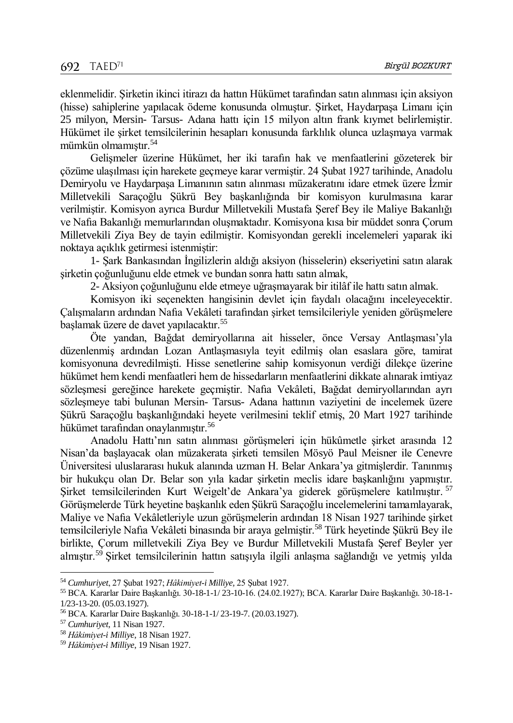eklenmelidir. Şirketin ikinci itirazı da hattın Hükümet tarafından satın alınması için aksiyon (hisse) sahiplerine yapılacak ödeme konusunda olmuştur. Şirket, Haydarpaşa Limanı için 25 milyon, Mersin- Tarsus- Adana hattı için 15 milyon altın frank kıymet belirlemiştir. Hükümet ile şirket temsilcilerinin hesapları konusunda farklılık olunca uzlaşmaya varmak mümkün olmamıştır.<sup>54</sup>

Gelişmeler üzerine Hükümet, her iki tarafın hak ve menfaatlerini gözeterek bir çözüme ulaşılması için harekete geçmeye karar vermiştir. 24 Şubat 1927 tarihinde, Anadolu Demiryolu ve Haydarpaşa Limanının satın alınması müzakeratını idare etmek üzere İzmir Milletvekili Saraçoğlu Şükrü Bey başkanlığında bir komisyon kurulmasına karar verilmiştir. Komisyon ayrıca Burdur Milletvekili Mustafa Şeref Bey ile Maliye Bakanlığı ve Nafıa Bakanlığı memurlarından oluşmaktadır. Komisyona kısa bir müddet sonra Çorum Milletvekili Ziya Bey de tayin edilmiştir. Komisyondan gerekli incelemeleri yaparak iki noktaya açıklık getirmesi istenmiştir:

1- Şark Bankasından İngilizlerin aldığı aksiyon (hisselerin) ekseriyetini satın alarak şirketin çoğunluğunu elde etmek ve bundan sonra hattı satın almak,

2- Aksiyon çoğunluğunu elde etmeye uğraşmayarak bir itilâf ile hattı satın almak.

Komisyon iki seçenekten hangisinin devlet için faydalı olacağını inceleyecektir. Çalışmaların ardından Nafıa Vekâleti tarafından şirket temsilcileriyle yeniden görüşmelere başlamak üzere de davet yapılacaktır.<sup>55</sup>

Öte yandan, Bağdat demiryollarına ait hisseler, önce Versay Antlaşması'yla düzenlenmiş ardından Lozan Antlaşmasıyla teyit edilmiş olan esaslara göre, tamirat komisyonuna devredilmişti. Hisse senetlerine sahip komisyonun verdiği dilekçe üzerine hükümet hem kendi menfaatleri hem de hissedarların menfaatlerini dikkate alınarak imtiyaz sözleşmesi gereğince harekete geçmiştir. Nafıa Vekâleti, Bağdat demiryollarından ayrı sözleşmeye tabi bulunan Mersin- Tarsus- Adana hattının vaziyetini de incelemek üzere Şükrü Saraçoğlu başkanlığındaki heyete verilmesini teklif etmiş, 20 Mart 1927 tarihinde hükümet tarafından onaylanmıştır.<sup>56</sup>

Anadolu Hattı'nın satın alınması görüşmeleri için hükûmetle şirket arasında 12 Nisan'da başlayacak olan müzakerata şirketi temsilen Mösyö Paul Meisner ile Cenevre Üniversitesi uluslararası hukuk alanında uzman H. Belar Ankara'ya gitmişlerdir. Tanınmış bir hukukçu olan Dr. Belar son yıla kadar şirketin meclis idare başkanlığını yapmıştır. Şirket temsilcilerinden Kurt Weigelt'de Ankara'ya giderek görüşmelere katılmıştır. <sup>57</sup> Görüşmelerde Türk heyetine başkanlık eden Şükrü Saraçoğlu incelemelerini tamamlayarak, Maliye ve Nafıa Vekâletleriyle uzun görüşmelerin ardından 18 Nisan 1927 tarihinde şirket temsilcileriyle Nafıa Vekâleti binasında bir araya gelmiştir.<sup>58</sup> Türk heyetinde Şükrü Bey ile birlikte, Çorum milletvekili Ziya Bey ve Burdur Milletvekili Mustafa Şeref Beyler yer almıştır.<sup>59</sup> Şirket temsilcilerinin hattın satışıyla ilgili anlaşma sağlandığı ve yetmiş yılda

<sup>54</sup> *Cumhuriyet*, 27 Şubat 1927; *Hâkimiyet-i Milliye,* 25 Şubat 1927.

<sup>55</sup> BCA. Kararlar Daire Başkanlığı. 30-18-1-1/ 23-10-16. (24.02.1927); BCA. Kararlar Daire Başkanlığı. 30-18-1- 1/23-13-20. (05.03.1927).

<sup>56</sup> BCA. Kararlar Daire Başkanlığı. 30-18-1-1/ 23-19-7. (20.03.1927).

<sup>57</sup> *Cumhuriyet*, 11 Nisan 1927.

<sup>58</sup> *Hâkimiyet-i Milliye*, 18 Nisan 1927.

<sup>59</sup> *Hâkimiyet-i Milliye*, 19 Nisan 1927.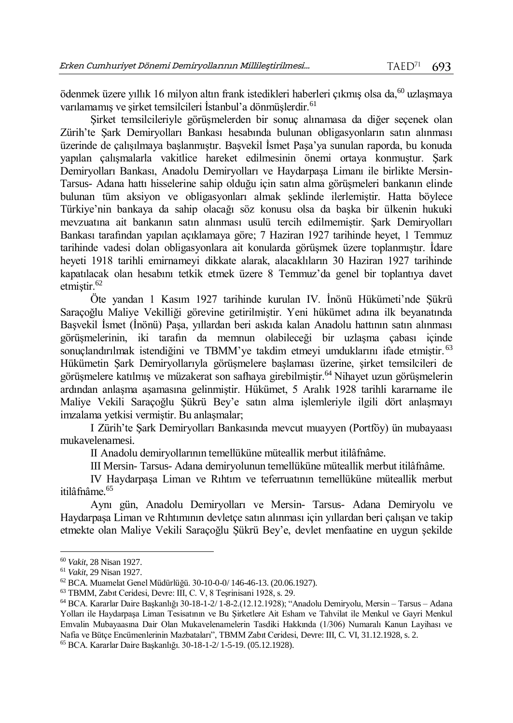ödenmek üzere yıllık 16 milyon altın frank istedikleri haberleri çıkmış olsa da,<sup>60</sup> uzlaşmaya varılamamış ve sirket temsilcileri İstanbul'a dönmüşlerdir.<sup>61</sup>

Şirket temsilcileriyle görüşmelerden bir sonuç alınamasa da diğer seçenek olan Zürih'te Şark Demiryolları Bankası hesabında bulunan obligasyonların satın alınması üzerinde de çalışılmaya başlanmıştır. Başvekil İsmet Paşa'ya sunulan raporda, bu konuda yapılan çalışmalarla vakitlice hareket edilmesinin önemi ortaya konmuştur. Şark Demiryolları Bankası, Anadolu Demiryolları ve Haydarpaşa Limanı ile birlikte Mersin-Tarsus- Adana hattı hisselerine sahip olduğu için satın alma görüşmeleri bankanın elinde bulunan tüm aksiyon ve obligasyonları almak şeklinde ilerlemiştir. Hatta böylece Türkiye'nin bankaya da sahip olacağı söz konusu olsa da başka bir ülkenin hukuki mevzuatına ait bankanın satın alınması usulü tercih edilmemiştir. Şark Demiryolları Bankası tarafından yapılan açıklamaya göre; 7 Haziran 1927 tarihinde heyet, 1 Temmuz tarihinde vadesi dolan obligasyonlara ait konularda görüşmek üzere toplanmıştır. İdare heyeti 1918 tarihli emirnameyi dikkate alarak, alacaklıların 30 Haziran 1927 tarihinde kapatılacak olan hesabını tetkik etmek üzere 8 Temmuz'da genel bir toplantıya davet etmiştir. $62$ 

Öte yandan 1 Kasım 1927 tarihinde kurulan IV. İnönü Hükümeti'nde Şükrü Saraçoğlu Maliye Vekilliği görevine getirilmiştir. Yeni hükümet adına ilk beyanatında Başvekil İsmet (İnönü) Paşa, yıllardan beri askıda kalan Anadolu hattının satın alınması görüşmelerinin, iki tarafın da memnun olabileceği bir uzlaşma çabası içinde sonuçlandırılmak istendiğini ve TBMM'ye takdim etmeyi umduklarını ifade etmiştir.<sup>63</sup> Hükümetin Şark Demiryollarıyla görüşmelere başlaması üzerine, şirket temsilcileri de görüşmelere katılmış ve müzakerat son safhaya girebilmiştir.<sup>64</sup> Nihayet uzun görüşmelerin ardından anlaşma aşamasına gelinmiştir. Hükümet, 5 Aralık 1928 tarihli kararname ile Maliye Vekili Saraçoğlu Şükrü Bey'e satın alma işlemleriyle ilgili dört anlaşmayı imzalama yetkisi vermiştir. Bu anlaşmalar;

I Zürih'te Şark Demiryolları Bankasında mevcut muayyen (Portföy) ün mubayaası mukavelenamesi.

II Anadolu demiryollarının temellüküne müteallik merbut itilâfnâme.

III Mersin- Tarsus- Adana demiryolunun temellüküne müteallik merbut itilâfnâme.

IV Haydarpaşa Liman ve Rıhtım ve teferruatının temellüküne müteallik merbut itilâfnâme. 65

Aynı gün, Anadolu Demiryolları ve Mersin- Tarsus- Adana Demiryolu ve Haydarpaşa Liman ve Rıhtımının devletçe satın alınması için yıllardan beri çalışan ve takip etmekte olan Maliye Vekili Saraçoğlu Şükrü Bey'e, devlet menfaatine en uygun şekilde

 $\overline{a}$ 

<sup>65</sup> BCA. Kararlar Daire Başkanlığı. 30-18-1-2/ 1-5-19. (05.12.1928).

<sup>60</sup> *Vakit*, 28 Nisan 1927.

<sup>61</sup> *Vakit*, 29 Nisan 1927.

<sup>62</sup> BCA. Muamelat Genel Müdürlüğü. 30-10-0-0/ 146-46-13. (20.06.1927).

<sup>63</sup> TBMM, Zabıt Ceridesi, Devre: III, C. V, 8 Teşrinisani 1928, s. 29.

<sup>64</sup> BCA. Kararlar Daire Başkanlığı 30-18-1-2/ 1-8-2.(12.12.1928); "Anadolu Demiryolu, Mersin – Tarsus – Adana Yolları ile Haydarpaşa Liman Tesisatının ve Bu Şirketlere Ait Esham ve Tahvilat ile Menkul ve Gayri Menkul Emvalin Mubayaasına Dair Olan Mukavelenamelerin Tasdiki Hakkında (1/306) Numaralı Kanun Layihası ve Nafia ve Bütçe Encümenlerinin Mazbataları", TBMM Zabıt Ceridesi, Devre: III, C. VI, 31.12.1928, s. 2.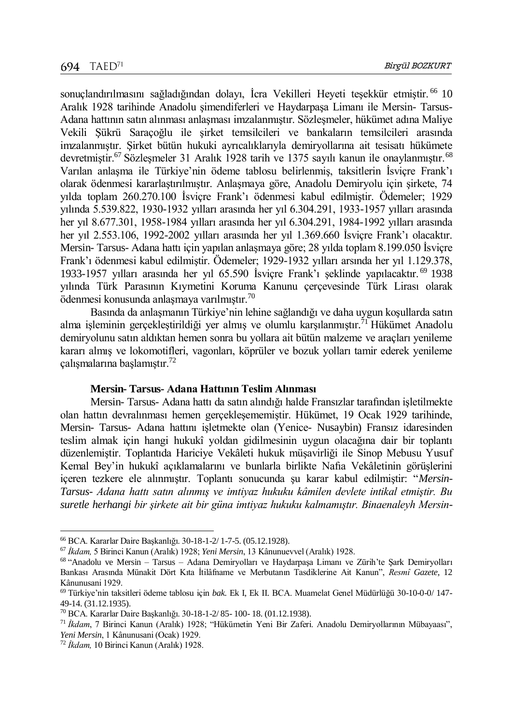sonuçlandırılmasını sağladığından dolayı, İcra Vekilleri Heyeti teşekkür etmistir.<sup>66</sup> 10 Aralık 1928 tarihinde Anadolu şimendiferleri ve Haydarpaşa Limanı ile Mersin- Tarsus-Adana hattının satın alınması anlaşması imzalanmıştır. Sözleşmeler, hükümet adına Maliye Vekili Şükrü Saraçoğlu ile şirket temsilcileri ve bankaların temsilcileri arasında imzalanmıştır. Şirket bütün hukuki ayrıcalıklarıyla demiryollarına ait tesisatı hükümete devretmiştir.<sup>67</sup> Sözlesmeler 31 Aralık 1928 tarih ve 1375 sayılı kanun ile onaylanmıştır.<sup>68</sup> Varılan anlaşma ile Türkiye'nin ödeme tablosu belirlenmiş, taksitlerin İsviçre Frank'ı olarak ödenmesi kararlaştırılmıştır. Anlaşmaya göre, Anadolu Demiryolu için şirkete, 74 yılda toplam 260.270.100 İsviçre Frank'ı ödenmesi kabul edilmiştir. Ödemeler; 1929 yılında 5.539.822, 1930-1932 yılları arasında her yıl 6.304.291, 1933-1957 yılları arasında her yıl 8.677.301, 1958-1984 yılları arasında her yıl 6.304.291, 1984-1992 yılları arasında her yıl 2.553.106, 1992-2002 yılları arasında her yıl 1.369.660 İsviçre Frank'ı olacaktır. Mersin- Tarsus- Adana hattı için yapılan anlaşmaya göre; 28 yılda toplam 8.199.050 İsviçre Frank'ı ödenmesi kabul edilmiştir. Ödemeler; 1929-1932 yılları arsında her yıl 1.129.378, 1933-1957 yılları arasında her yıl 65.590 İsviçre Frank'ı şeklinde yapılacaktır. <sup>69</sup> 1938 yılında Türk Parasının Kıymetini Koruma Kanunu çerçevesinde Türk Lirası olarak ödenmesi konusunda anlaşmaya varılmıştır.<sup>70</sup>

Basında da anlaşmanın Türkiye'nin lehine sağlandığı ve daha uygun koşullarda satın alma işleminin gerçekleştirildiği yer almış ve olumlu karşılanmıştır.<sup>71</sup> Hükümet Anadolu demiryolunu satın aldıktan hemen sonra bu yollara ait bütün malzeme ve araçları yenileme kararı almış ve lokomotifleri, vagonları, köprüler ve bozuk yolları tamir ederek yenileme çalışmalarına başlamıştır.<sup>72</sup>

## **Mersin- Tarsus- Adana Hattının Teslim Alınması**

Mersin- Tarsus- Adana hattı da satın alındığı halde Fransızlar tarafından işletilmekte olan hattın devralınması hemen gerçekleşememiştir. Hükümet, 19 Ocak 1929 tarihinde, Mersin- Tarsus- Adana hattını işletmekte olan (Yenice- Nusaybin) Fransız idaresinden teslim almak için hangi hukukî yoldan gidilmesinin uygun olacağına dair bir toplantı düzenlemiştir. Toplantıda Hariciye Vekâleti hukuk müşavirliği ile Sinop Mebusu Yusuf Kemal Bey'in hukukî açıklamalarını ve bunlarla birlikte Nafıa Vekâletinin görüşlerini içeren tezkere ele alınmıştır. Toplantı sonucunda şu karar kabul edilmiştir: "*Mersin-Tarsus- Adana hattı satın alınmış ve imtiyaz hukuku kâmilen devlete intikal etmiştir. Bu suretle herhangi bir şirkete ait bir güna imtiyaz hukuku kalmamıştır. Binaenaleyh Mersin-*

l

<sup>66</sup> BCA. Kararlar Daire Başkanlığı. 30-18-1-2/ 1-7-5. (05.12.1928).

<sup>67</sup> *İkdam,* 5 Birinci Kanun (Aralık) 1928; *Yeni Mersin*, 13 Kânunuevvel (Aralık) 1928.

<sup>68</sup> "Anadolu ve Mersin – Tarsus – Adana Demiryolları ve Haydarpaşa Limanı ve Zürih'te Şark Demiryolları Bankası Arasında Münakit Dört Kıta İtilâfname ve Merbutanın Tasdiklerine Ait Kanun", *Resmî Gazete*, 12 Kânunusani 1929.

<sup>69</sup> Türkiye'nin taksitleri ödeme tablosu için *bak.* Ek I, Ek II. BCA. Muamelat Genel Müdürlüğü 30-10-0-0/ 147- 49-14. (31.12.1935).

<sup>70</sup> BCA. Kararlar Daire Başkanlığı. 30-18-1-2/ 85- 100- 18. (01.12.1938).

<sup>71</sup> *İkdam*, 7 Birinci Kanun (Aralık) 1928; "Hükümetin Yeni Bir Zaferi. Anadolu Demiryollarının Mübayaası", *Yeni Mersin*, 1 Kânunusani (Ocak) 1929.

<sup>72</sup> *İkdam,* 10 Birinci Kanun (Aralık) 1928.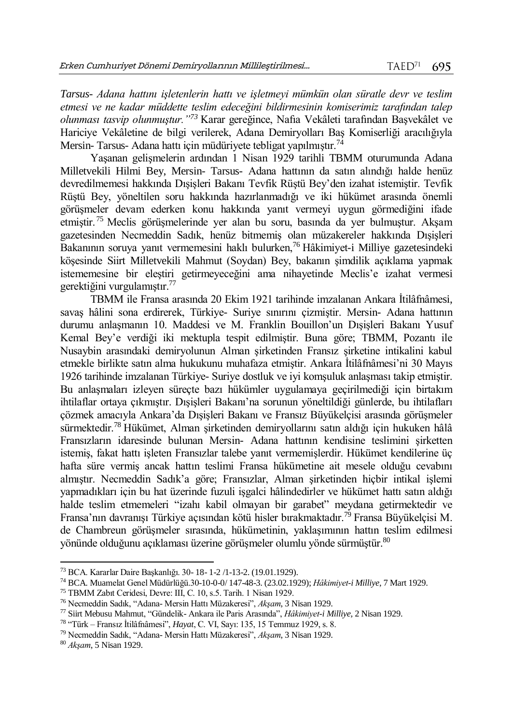*Tarsus- Adana hattını işletenlerin hattı ve işletmeyi mümkün olan süratle devr ve teslim etmesi ve ne kadar müddette teslim edeceğini bildirmesinin komiserimiz tarafından talep olunması tasvip olunmuştur."<sup>73</sup>* Karar gereğince, Nafıa Vekâleti tarafından Başvekâlet ve Hariciye Vekâletine de bilgi verilerek, Adana Demiryolları Baş Komiserliği aracılığıyla Mersin- Tarsus- Adana hattı için müdüriyete tebligat yapılmıştır.<sup>74</sup>

Yaşanan gelişmelerin ardından 1 Nisan 1929 tarihli TBMM oturumunda Adana Milletvekili Hilmi Bey, Mersin- Tarsus- Adana hattının da satın alındığı halde henüz devredilmemesi hakkında Dışişleri Bakanı Tevfik Rüştü Bey'den izahat istemiştir. Tevfik Rüştü Bey, yöneltilen soru hakkında hazırlanmadığı ve iki hükümet arasında önemli görüşmeler devam ederken konu hakkında yanıt vermeyi uygun görmediğini ifade etmiştir. <sup>75</sup> Meclis görüşmelerinde yer alan bu soru, basında da yer bulmuştur. Akşam gazetesinden Necmeddin Sadık, henüz bitmemiş olan müzakereler hakkında Dışişleri Bakanının soruya yanıt vermemesini haklı bulurken,<sup>76</sup> Hâkimiyet-i Milliye gazetesindeki köşesinde Siirt Milletvekili Mahmut (Soydan) Bey, bakanın şimdilik açıklama yapmak istememesine bir eleştiri getirmeyeceğini ama nihayetinde Meclis'e izahat vermesi gerektiğini vurgulamıştır.<sup>77</sup>

TBMM ile Fransa arasında 20 Ekim 1921 tarihinde imzalanan Ankara İtilâfnâmesi, savaş hâlini sona erdirerek, Türkiye- Suriye sınırını çizmiştir. Mersin- Adana hattının durumu anlaşmanın 10. Maddesi ve M. Franklin Bouillon'un Dışişleri Bakanı Yusuf Kemal Bey'e verdiği iki mektupla tespit edilmiştir. Buna göre; TBMM, Pozantı ile Nusaybin arasındaki demiryolunun Alman şirketinden Fransız şirketine intikalini kabul etmekle birlikte satın alma hukukunu muhafaza etmiştir. Ankara İtilâfnâmesi'ni 30 Mayıs 1926 tarihinde imzalanan Türkiye- Suriye dostluk ve iyi komşuluk anlaşması takip etmiştir. Bu anlaşmaları izleyen süreçte bazı hükümler uygulamaya geçirilmediği için birtakım ihtilaflar ortaya çıkmıştır. Dışişleri Bakanı'na sorunun yöneltildiği günlerde, bu ihtilafları çözmek amacıyla Ankara'da Dışişleri Bakanı ve Fransız Büyükelçisi arasında görüşmeler sürmektedir.<sup>78</sup> Hükümet, Alman şirketinden demiryollarını satın aldığı için hukuken hâlâ Fransızların idaresinde bulunan Mersin- Adana hattının kendisine teslimini şirketten istemiş, fakat hattı işleten Fransızlar talebe yanıt vermemişlerdir. Hükümet kendilerine üç hafta süre vermiş ancak hattın teslimi Fransa hükümetine ait mesele olduğu cevabını almıştır. Necmeddin Sadık'a göre; Fransızlar, Alman şirketinden hiçbir intikal işlemi yapmadıkları için bu hat üzerinde fuzuli işgalci hâlindedirler ve hükümet hattı satın aldığı halde teslim etmemeleri "izahı kabil olmayan bir garabet" meydana getirmektedir ve Fransa'nın davranışı Türkiye açısından kötü hisler bırakmaktadır.<sup>79</sup> Fransa Büyükelçisi M. de Chambreun görüşmeler sırasında, hükümetinin, yaklaşımının hattın teslim edilmesi yönünde olduğunu açıklaması üzerine görüşmeler olumlu yönde sürmüştür.<sup>80</sup>

l <sup>73</sup> BCA. Kararlar Daire Başkanlığı. 30- 18- 1-2 /1-13-2. (19.01.1929).

<sup>74</sup> BCA. Muamelat Genel Müdürlüğü.30-10-0-0/ 147-48-3. (23.02.1929); *Hâkimiyet-i Milliye*, 7 Mart 1929.

<sup>75</sup> TBMM Zabıt Ceridesi, Devre: III, C. 10, s.5. Tarih. 1 Nisan 1929.

<sup>76</sup> Necmeddin Sadık, "Adana- Mersin Hattı Müzakeresi", *Akşam*, 3 Nisan 1929.

<sup>77</sup> Siirt Mebusu Mahmut, "Gündelik- Ankara ile Paris Arasında", *Hâkimiyet-i Milliye,* 2 Nisan 1929.

<sup>78</sup> "Türk – Fransız İtilâfnâmesi", *Hayat*, C. VI, Sayı: 135, 15 Temmuz 1929, s. 8.

<sup>79</sup> Necmeddin Sadık, "Adana- Mersin Hattı Müzakeresi", *Akşam*, 3 Nisan 1929.

<sup>80</sup> *Akşam*, 5 Nisan 1929.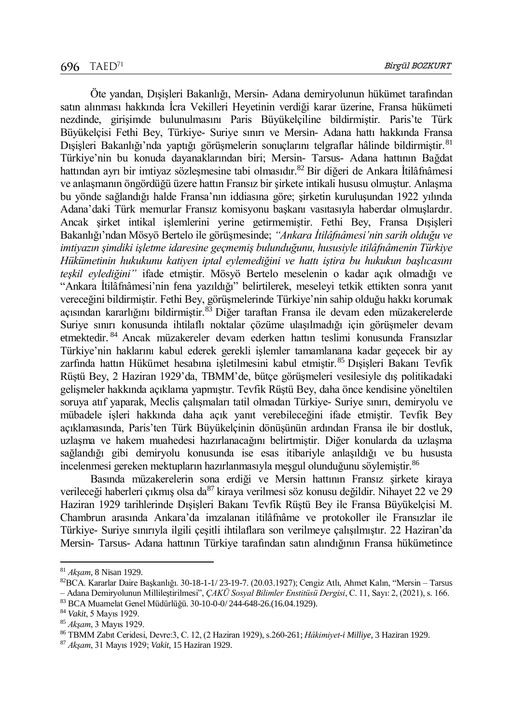Öte yandan, Dışişleri Bakanlığı, Mersin- Adana demiryolunun hükümet tarafından satın alınması hakkında İcra Vekilleri Heyetinin verdiği karar üzerine, Fransa hükümeti nezdinde, girişimde bulunulmasını Paris Büyükelçiline bildirmiştir. Paris'te Türk Büyükelçisi Fethi Bey, Türkiye- Suriye sınırı ve Mersin- Adana hattı hakkında Fransa Dışişleri Bakanlığı'nda yaptığı görüşmelerin sonuçlarını telgraflar hâlinde bildirmiştir.<sup>81</sup> Türkiye'nin bu konuda dayanaklarından biri; Mersin- Tarsus- Adana hattının Bağdat hattından ayrı bir imtiyaz sözleşmesine tabi olmasıdır.<sup>82</sup> Bir diğeri de Ankara İtilâfnâmesi ve anlaşmanın öngördüğü üzere hattın Fransız bir şirkete intikali hususu olmuştur. Anlaşma bu yönde sağlandığı halde Fransa'nın iddiasına göre; şirketin kuruluşundan 1922 yılında Adana'daki Türk memurlar Fransız komisyonu başkanı vasıtasıyla haberdar olmuşlardır. Ancak şirket intikal işlemlerini yerine getirmemiştir. Fethi Bey, Fransa Dışişleri Bakanlığı'ndan Mösyö Bertelo ile görüşmesinde; *"Ankara İtilâfnâmesi'nin sarih olduğu ve imtiyazın şimdiki işletme idaresine geçmemiş bulunduğunu, hususiyle itilâfnâmenin Türkiye Hükümetinin hukukunu katiyen iptal eylemediğini ve hattı iştira bu hukukun başlıcasını teşkil eylediğini"* ifade etmiştir. Mösyö Bertelo meselenin o kadar açık olmadığı ve "Ankara İtilâfnâmesi'nin fena yazıldığı" belirtilerek, meseleyi tetkik ettikten sonra yanıt vereceğini bildirmiştir. Fethi Bey, görüşmelerinde Türkiye'nin sahip olduğu hakkı korumak açısından kararlığını bildirmiştir.<sup>83</sup> Diğer taraftan Fransa ile devam eden müzakerelerde Suriye sınırı konusunda ihtilaflı noktalar çözüme ulaşılmadığı için görüşmeler devam etmektedir. <sup>84</sup> Ancak müzakereler devam ederken hattın teslimi konusunda Fransızlar Türkiye'nin haklarını kabul ederek gerekli işlemler tamamlanana kadar geçecek bir ay zarfında hattın Hükümet hesabına işletilmesini kabul etmiştir.<sup>85</sup> Dışişleri Bakanı Tevfik Rüştü Bey, 2 Haziran 1929'da, TBMM'de, bütçe görüşmeleri vesilesiyle dış politikadaki gelişmeler hakkında açıklama yapmıştır. Tevfik Rüştü Bey, daha önce kendisine yöneltilen soruya atıf yaparak, Meclis çalışmaları tatil olmadan Türkiye- Suriye sınırı, demiryolu ve mübadele işleri hakkında daha açık yanıt verebileceğini ifade etmiştir. Tevfik Bey açıklamasında, Paris'ten Türk Büyükelçinin dönüşünün ardından Fransa ile bir dostluk, uzlaşma ve hakem muahedesi hazırlanacağını belirtmiştir. Diğer konularda da uzlaşma sağlandığı gibi demiryolu konusunda ise esas itibariyle anlaşıldığı ve bu hususta incelenmesi gereken mektupların hazırlanmasıyla meşgul olunduğunu söylemiştir.<sup>86</sup>

Basında müzakerelerin sona erdiği ve Mersin hattının Fransız şirkete kiraya verileceği haberleri çıkmış olsa da<sup>87</sup> kiraya verilmesi söz konusu değildir. Nihayet 22 ve 29 Haziran 1929 tarihlerinde Dışişleri Bakanı Tevfik Rüştü Bey ile Fransa Büyükelçisi M. Chambrun arasında Ankara'da imzalanan itilâfnâme ve protokoller ile Fransızlar ile Türkiye- Suriye sınırıyla ilgili çeşitli ihtilaflara son verilmeye çalışılmıştır. 22 Haziran'da Mersin- Tarsus- Adana hattının Türkiye tarafından satın alındığının Fransa hükümetince

l

<sup>81</sup> *Akşam*, 8 Nisan 1929.

<sup>82</sup>BCA. Kararlar Daire Başkanlığı. 30-18-1-1/ 23-19-7. (20.03.1927); Cengiz Atlı, Ahmet Kalın, "Mersin – Tarsus – Adana Demiryolunun Millileştirilmesi", *ÇAKÜ Sosyal Bilimler Enstitüsü Dergisi*, C. 11, Sayı: 2, (2021), s. 166.

<sup>83</sup> BCA Muamelat Genel Müdürlüğü. 30-10-0-0/ 244-648-26.(16.04.1929).

<sup>84</sup> *Vakit*, 5 Mayıs 1929.

<sup>85</sup> *Akşam*, 3 Mayıs 1929.

<sup>86</sup> TBMM Zabıt Ceridesi, Devre:3, C. 12, (2 Haziran 1929), s.260-261; *Hâkimiyet-i Milliye*, 3 Haziran 1929.

<sup>87</sup> *Akşam*, 31 Mayıs 1929; *Vakit*, 15 Haziran 1929.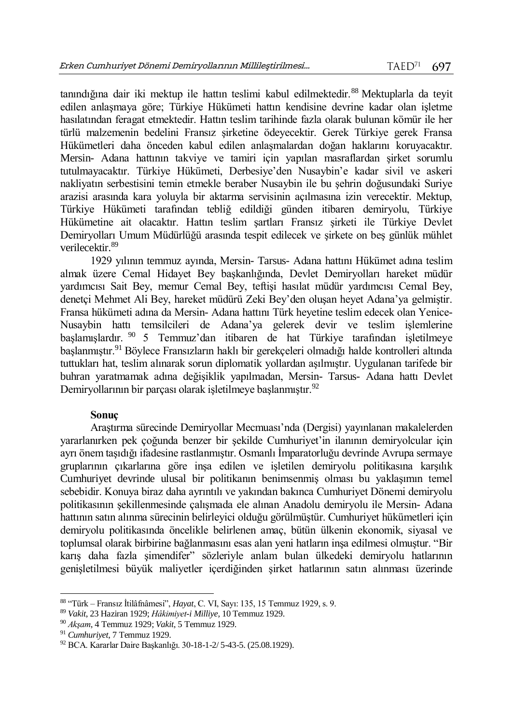tanındığına dair iki mektup ile hattın teslimi kabul edilmektedir.<sup>88</sup> Mektuplarla da teyit edilen anlaşmaya göre; Türkiye Hükümeti hattın kendisine devrine kadar olan işletme hasılatından feragat etmektedir. Hattın teslim tarihinde fazla olarak bulunan kömür ile her türlü malzemenin bedelini Fransız şirketine ödeyecektir. Gerek Türkiye gerek Fransa Hükümetleri daha önceden kabul edilen anlaşmalardan doğan haklarını koruyacaktır. Mersin- Adana hattının takviye ve tamiri için yapılan masraflardan şirket sorumlu tutulmayacaktır. Türkiye Hükümeti, Derbesiye'den Nusaybin'e kadar sivil ve askeri nakliyatın serbestisini temin etmekle beraber Nusaybin ile bu şehrin doğusundaki Suriye arazisi arasında kara yoluyla bir aktarma servisinin açılmasına izin verecektir. Mektup, Türkiye Hükümeti tarafından tebliğ edildiği günden itibaren demiryolu, Türkiye Hükümetine ait olacaktır. Hattın teslim şartları Fransız şirketi ile Türkiye Devlet Demiryolları Umum Müdürlüğü arasında tespit edilecek ve şirkete on beş günlük mühlet verilecektir.<sup>89</sup>

1929 yılının temmuz ayında, Mersin- Tarsus- Adana hattını Hükümet adına teslim almak üzere Cemal Hidayet Bey başkanlığında, Devlet Demiryolları hareket müdür yardımcısı Sait Bey, memur Cemal Bey, teftişi hasılat müdür yardımcısı Cemal Bey, denetçi Mehmet Ali Bey, hareket müdürü Zeki Bey'den oluşan heyet Adana'ya gelmiştir. Fransa hükümeti adına da Mersin- Adana hattını Türk heyetine teslim edecek olan Yenice-Nusaybin hattı temsilcileri de Adana'ya gelerek devir ve teslim işlemlerine başlamışlardır. <sup>90</sup> 5 Temmuz'dan itibaren de hat Türkiye tarafından işletilmeye başlanmıştır.<sup>91</sup> Böylece Fransızların haklı bir gerekçeleri olmadığı halde kontrolleri altında tuttukları hat, teslim alınarak sorun diplomatik yollardan aşılmıştır. Uygulanan tarifede bir buhran yaratmamak adına değişiklik yapılmadan, Mersin- Tarsus- Adana hattı Devlet Demiryollarının bir parçası olarak işletilmeye başlanmıştır.<sup>92</sup>

## **Sonuç**

Araştırma sürecinde Demiryollar Mecmuası'nda (Dergisi) yayınlanan makalelerden yararlanırken pek çoğunda benzer bir şekilde Cumhuriyet'in ilanının demiryolcular için ayrı önem taşıdığı ifadesine rastlanmıştır. Osmanlı İmparatorluğu devrinde Avrupa sermaye gruplarının çıkarlarına göre inşa edilen ve işletilen demiryolu politikasına karşılık Cumhuriyet devrinde ulusal bir politikanın benimsenmiş olması bu yaklaşımın temel sebebidir. Konuya biraz daha ayrıntılı ve yakından bakınca Cumhuriyet Dönemi demiryolu politikasının şekillenmesinde çalışmada ele alınan Anadolu demiryolu ile Mersin- Adana hattının satın alınma sürecinin belirleyici olduğu görülmüştür. Cumhuriyet hükümetleri için demiryolu politikasında öncelikle belirlenen amaç, bütün ülkenin ekonomik, siyasal ve toplumsal olarak birbirine bağlanmasını esas alan yeni hatların inşa edilmesi olmuştur. "Bir karış daha fazla şimendifer" sözleriyle anlam bulan ülkedeki demiryolu hatlarının genişletilmesi büyük maliyetler içerdiğinden şirket hatlarının satın alınması üzerinde

 $\overline{a}$ <sup>88</sup> "Türk – Fransız İtilâfnâmesi", *Hayat*, C. VI, Sayı: 135, 15 Temmuz 1929, s. 9.

<sup>89</sup> *Vakit*, 23 Haziran 1929; *Hâkimiyet-i Milliye,* 10 Temmuz 1929.

<sup>90</sup> *Akşam*, 4 Temmuz 1929; *Vakit*, 5 Temmuz 1929.

<sup>91</sup> *Cumhuriyet*, 7 Temmuz 1929.

<sup>92</sup> BCA. Kararlar Daire Başkanlığı. 30-18-1-2/ 5-43-5. (25.08.1929).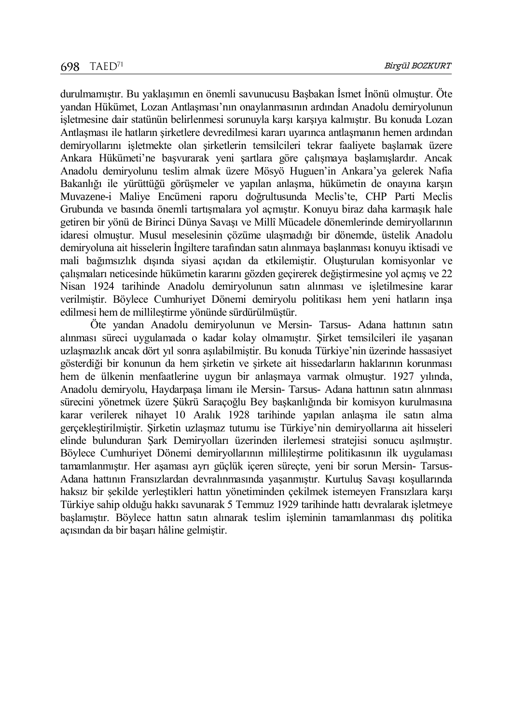durulmamıştır. Bu yaklaşımın en önemli savunucusu Başbakan İsmet İnönü olmuştur. Öte yandan Hükümet, Lozan Antlaşması'nın onaylanmasının ardından Anadolu demiryolunun işletmesine dair statünün belirlenmesi sorunuyla karşı karşıya kalmıştır. Bu konuda Lozan Antlaşması ile hatların şirketlere devredilmesi kararı uyarınca antlaşmanın hemen ardından demiryollarını işletmekte olan şirketlerin temsilcileri tekrar faaliyete başlamak üzere Ankara Hükümeti'ne başvurarak yeni şartlara göre çalışmaya başlamışlardır. Ancak Anadolu demiryolunu teslim almak üzere Mösyö Huguen'in Ankara'ya gelerek Nafia Bakanlığı ile yürüttüğü görüşmeler ve yapılan anlaşma, hükümetin de onayına karşın Muvazene-i Maliye Encümeni raporu doğrultusunda Meclis'te, CHP Parti Meclis Grubunda ve basında önemli tartışmalara yol açmıştır. Konuyu biraz daha karmaşık hale getiren bir yönü de Birinci Dünya Savaşı ve Millî Mücadele dönemlerinde demiryollarının idaresi olmuştur. Musul meselesinin çözüme ulaşmadığı bir dönemde, üstelik Anadolu demiryoluna ait hisselerin İngiltere tarafından satın alınmaya başlanması konuyu iktisadi ve mali bağımsızlık dışında siyasi açıdan da etkilemiştir. Oluşturulan komisyonlar ve çalışmaları neticesinde hükümetin kararını gözden geçirerek değiştirmesine yol açmış ve 22 Nisan 1924 tarihinde Anadolu demiryolunun satın alınması ve işletilmesine karar verilmiştir. Böylece Cumhuriyet Dönemi demiryolu politikası hem yeni hatların inşa edilmesi hem de millileştirme yönünde sürdürülmüştür.

Öte yandan Anadolu demiryolunun ve Mersin- Tarsus- Adana hattının satın alınması süreci uygulamada o kadar kolay olmamıştır. Şirket temsilcileri ile yaşanan uzlaşmazlık ancak dört yıl sonra aşılabilmiştir. Bu konuda Türkiye'nin üzerinde hassasiyet gösterdiği bir konunun da hem şirketin ve şirkete ait hissedarların haklarının korunması hem de ülkenin menfaatlerine uygun bir anlaşmaya varmak olmuştur. 1927 yılında, Anadolu demiryolu, Haydarpaşa limanı ile Mersin- Tarsus- Adana hattının satın alınması sürecini yönetmek üzere Şükrü Saraçoğlu Bey başkanlığında bir komisyon kurulmasına karar verilerek nihayet 10 Aralık 1928 tarihinde yapılan anlaşma ile satın alma gerçekleştirilmiştir. Şirketin uzlaşmaz tutumu ise Türkiye'nin demiryollarına ait hisseleri elinde bulunduran Şark Demiryolları üzerinden ilerlemesi stratejisi sonucu aşılmıştır. Böylece Cumhuriyet Dönemi demiryollarının millileştirme politikasının ilk uygulaması tamamlanmıştır. Her aşaması ayrı güçlük içeren süreçte, yeni bir sorun Mersin- Tarsus-Adana hattının Fransızlardan devralınmasında yaşanmıştır. Kurtuluş Savaşı koşullarında haksız bir şekilde yerleştikleri hattın yönetiminden çekilmek istemeyen Fransızlara karşı Türkiye sahip olduğu hakkı savunarak 5 Temmuz 1929 tarihinde hattı devralarak işletmeye başlamıştır. Böylece hattın satın alınarak teslim işleminin tamamlanması dış politika açısından da bir başarı hâline gelmiştir.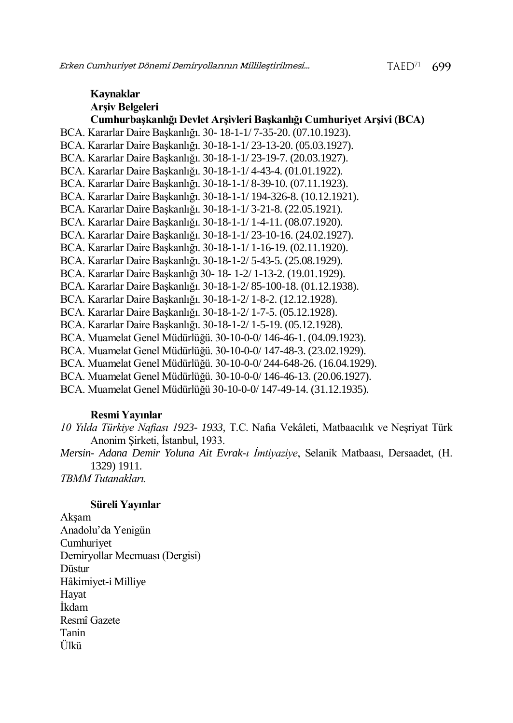# **Kaynaklar Arşiv Belgeleri Cumhurbaşkanlığı Devlet Arşivleri Başkanlığı Cumhuriyet Arşivi (BCA)** BCA. Kararlar Daire Başkanlığı. 30- 18-1-1/ 7-35-20. (07.10.1923). BCA. Kararlar Daire Başkanlığı. 30-18-1-1/ 23-13-20. (05.03.1927). BCA. Kararlar Daire Başkanlığı. 30-18-1-1/ 23-19-7. (20.03.1927). BCA. Kararlar Daire Başkanlığı. 30-18-1-1/ 4-43-4. (01.01.1922). BCA. Kararlar Daire Başkanlığı. 30-18-1-1/ 8-39-10. (07.11.1923). BCA. Kararlar Daire Başkanlığı. 30-18-1-1/ 194-326-8. (10.12.1921). BCA. Kararlar Daire Başkanlığı. 30-18-1-1/ 3-21-8. (22.05.1921). BCA. Kararlar Daire Başkanlığı. 30-18-1-1/ 1-4-11. (08.07.1920). BCA. Kararlar Daire Başkanlığı. 30-18-1-1/ 23-10-16. (24.02.1927). BCA. Kararlar Daire Başkanlığı. 30-18-1-1/ 1-16-19. (02.11.1920). BCA. Kararlar Daire Başkanlığı. 30-18-1-2/ 5-43-5. (25.08.1929). BCA. Kararlar Daire Başkanlığı 30- 18- 1-2/ 1-13-2. (19.01.1929). BCA. Kararlar Daire Başkanlığı. 30-18-1-2/ 85-100-18. (01.12.1938). BCA. Kararlar Daire Başkanlığı. 30-18-1-2/ 1-8-2. (12.12.1928). BCA. Kararlar Daire Başkanlığı. 30-18-1-2/ 1-7-5. (05.12.1928). BCA. Kararlar Daire Başkanlığı. 30-18-1-2/ 1-5-19. (05.12.1928). BCA. Muamelat Genel Müdürlüğü. 30-10-0-0/ 146-46-1. (04.09.1923). BCA. Muamelat Genel Müdürlüğü. 30-10-0-0/ 147-48-3. (23.02.1929). BCA. Muamelat Genel Müdürlüğü. 30-10-0-0/ 244-648-26. (16.04.1929). BCA. Muamelat Genel Müdürlüğü. 30-10-0-0/ 146-46-13. (20.06.1927). BCA. Muamelat Genel Müdürlüğü 30-10-0-0/ 147-49-14. (31.12.1935).

#### **Resmi Yayınlar**

*10 Yılda Türkiye Nafiası 1923- 1933,* T.C. Nafıa Vekâleti, Matbaacılık ve Neşriyat Türk Anonim Şirketi, İstanbul, 1933.

*Mersin- Adana Demir Yoluna Ait Evrak-ı İmtiyaziye*, Selanik Matbaası, Dersaadet, (H. 1329) 1911.

*TBMM Tutanakları.*

#### **Süreli Yayınlar**

Akşam Anadolu'da Yenigün Cumhuriyet Demiryollar Mecmuası (Dergisi) **Düstur** Hâkimiyet-i Milliye Hayat İkdam Resmî Gazete Tanin Ülkü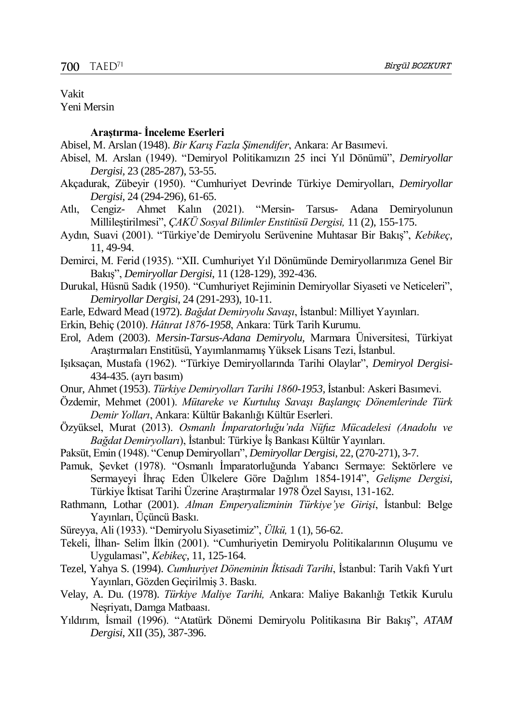#### Vakit Yeni Mersin

#### **Araştırma- İnceleme Eserleri**

- Abisel, M. Arslan (1948). *Bir Karış Fazla Şimendifer*, Ankara: Ar Basımevi.
- Abisel, M. Arslan (1949). "Demiryol Politikamızın 25 inci Yıl Dönümü", *Demiryollar Dergisi,* 23 (285-287), 53-55.
- Akçadurak, Zübeyir (1950). "Cumhuriyet Devrinde Türkiye Demiryolları, *Demiryollar Dergisi*, 24 (294-296), 61-65.
- Atlı, Cengiz- Ahmet Kalın (2021). "Mersin- Tarsus- Adana Demiryolunun Millileştirilmesi", *ÇAKÜ Sosyal Bilimler Enstitüsü Dergisi,* 11 (2), 155-175.
- Aydın, Suavi (2001). "Türkiye'de Demiryolu Serüvenine Muhtasar Bir Bakış", *Kebikeç*, 11, 49-94.
- Demirci, M. Ferid (1935). "XII. Cumhuriyet Yıl Dönümünde Demiryollarımıza Genel Bir Bakış", *Demiryollar Dergisi*, 11 (128-129), 392-436.
- Durukal, Hüsnü Sadık (1950). "Cumhuriyet Rejiminin Demiryollar Siyaseti ve Neticeleri", *Demiryollar Dergisi*, 24 (291-293), 10-11.
- Earle, Edward Mead (1972). *Bağdat Demiryolu Savaşı*, İstanbul: Milliyet Yayınları.
- Erkin, Behiç (2010). *Hâtırat 1876-1958*, Ankara: Türk Tarih Kurumu.
- Erol, Adem (2003). *Mersin-Tarsus-Adana Demiryolu,* Marmara Üniversitesi, Türkiyat Araştırmaları Enstitüsü, Yayımlanmamış Yüksek Lisans Tezi, İstanbul.
- Işıksaçan, Mustafa (1962). "Türkiye Demiryollarında Tarihi Olaylar", *Demiryol Dergisi*-434-435. (ayrı basım)
- Onur, Ahmet (1953). *Türkiye Demiryolları Tarihi 1860-1953,* İstanbul: Askeri Basımevi.
- Özdemir, Mehmet (2001). *Mütareke ve Kurtuluş Savaşı Başlangıç Dönemlerinde Türk Demir Yolları*, Ankara: Kültür Bakanlığı Kültür Eserleri.
- Özyüksel, Murat (2013). *Osmanlı İmparatorluğu'nda Nüfuz Mücadelesi (Anadolu ve Bağdat Demiryolları*), İstanbul: Türkiye İş Bankası Kültür Yayınları.
- Paksüt, Emin (1948). "Cenup Demiryolları", *Demiryollar Dergisi*, 22, (270-271), 3-7.
- Pamuk, Şevket (1978). "Osmanlı İmparatorluğunda Yabancı Sermaye: Sektörlere ve Sermayeyi İhraç Eden Ülkelere Göre Dağılım 1854-1914", *Gelişme Dergisi*, Türkiye İktisat Tarihi Üzerine Araştırmalar 1978 Özel Sayısı, 131-162.
- Rathmann, Lothar (2001). *Alman Emperyalizminin Türkiye'ye Girişi*, İstanbul: Belge Yayınları, Üçüncü Baskı.
- Süreyya, Ali (1933). "Demiryolu Siyasetimiz", *Ülkü,* 1 (1), 56-62.
- Tekeli, İlhan- Selim İlkin (2001). "Cumhuriyetin Demiryolu Politikalarının Oluşumu ve Uygulaması", *Kebikeç*, 11, 125-164.
- Tezel, Yahya S. (1994). *Cumhuriyet Döneminin İktisadi Tarihi*, İstanbul: Tarih Vakfı Yurt Yayınları, Gözden Geçirilmiş 3. Baskı.
- Velay, A. Du. (1978). *Türkiye Maliye Tarihi,* Ankara: Maliye Bakanlığı Tetkik Kurulu Neşriyatı, Damga Matbaası.
- Yıldırım, İsmail (1996). "Atatürk Dönemi Demiryolu Politikasına Bir Bakış", *ATAM Dergisi*, XII (35), 387-396.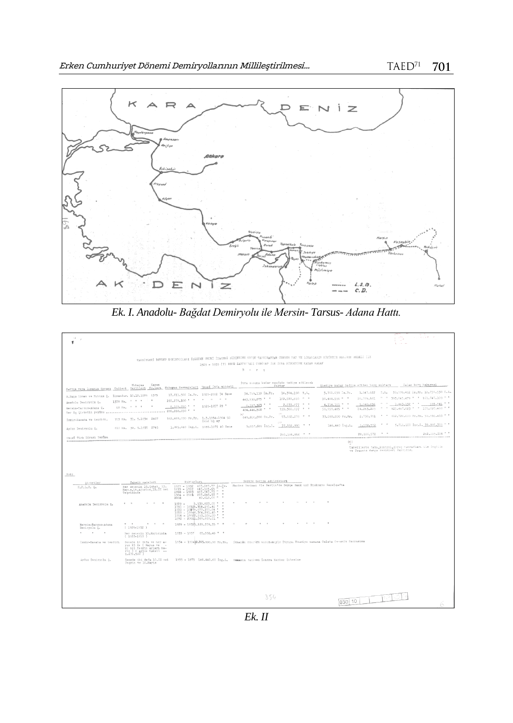

*Ek. I. Anadolu- Bağdat Demiryolu ile Mersin- Tarsus- Adana Hattı.*

| 14. p<br>۴                                           |                                                                                                                          |                                                                                                                                                              |                                                                                           |                                                     |                                   |                                                     |                                                                     |
|------------------------------------------------------|--------------------------------------------------------------------------------------------------------------------------|--------------------------------------------------------------------------------------------------------------------------------------------------------------|-------------------------------------------------------------------------------------------|-----------------------------------------------------|-----------------------------------|-----------------------------------------------------|---------------------------------------------------------------------|
|                                                      |                                                                                                                          |                                                                                                                                                              |                                                                                           |                                                     |                                   |                                                     |                                                                     |
|                                                      |                                                                                                                          | TAKSITLERI DEVLET DEMIRTOLLARI İŞLETME UNUMİ İDARESI EÜTÇESINE MEYEV TAHEJEATTAN ÖDENEN HAT VE LİNAMLARIN HÜKÜRETE MALIYEV MEDELI İLE                        |                                                                                           |                                                     |                                   |                                                     |                                                                     |
|                                                      |                                                                                                                          |                                                                                                                                                              | 1929 - 1935 (7) SECE ZARPITUALI TEBIYAT İLE İTFA MÜZDETİNE KADAR KALAN<br>$B$ $c$ $r$ $q$ |                                                     |                                   |                                                     |                                                                     |
|                                                      |                                                                                                                          |                                                                                                                                                              |                                                                                           |                                                     |                                   |                                                     |                                                                     |
| Hattin veya Linanin Unvani Tulleri Tarihleri No.lari | Kanun<br>Muhavaa                                                                                                         | Mubagas Sermayeleri Uzuni İtfa middeti                                                                                                                       |                                                                                           | Itfa sonuna kadar maafais tediye edilecek<br>Miktar |                                   | Sindiye kadar tediye edilen borq miktarı            | Kalan borg bakıyesi                                                 |
| H.Papa Liman ve Rahtım Ş. Limandır, 10.12.1928 1375  |                                                                                                                          | 17,811,500 Is.Fr. 1929-2002 74 Sene                                                                                                                          | 34.759.110 Is.Fr.                                                                         | 14.304.160 T.L.                                     | 3.760.698 Is.Pr.                  |                                                     | 1,547.622 7.1, 30.996.412 lm.Fr. 12.756.538 T.L.                    |
| Anadolu Demirvolu S.                                 | 1378 Kn. * * *                                                                                                           | $\mathbf{H}$<br>260,270,100 * *                                                                                                                              | 443.530.075 " "                                                                           | 182,522,660 **                                      | 50.484.596 " "                    | 20,775,551                                          | " " 393.045.479 " " 161.747.109 "                                   |
| Mersin-Tarsus-Adama Q.                               | 68 Km. * * * *                                                                                                           | 1929-1957 29 "<br>8,199,050 * *                                                                                                                              | $6,157,323$ $"$<br>484.446.508 " "<br>DU.                                                 | 2.533.877 " "<br>199,360,597 **                     | $4.714.191$ $+$<br>58.959.485 * * | $\alpha = \alpha$ .<br>1.940.036<br>24,263,209      | 593.841 * *<br>1.445.132 " "<br>" " 425.467.023 " " 175.097.488 " " |
| Iznir-Kanaba ve tendidi.                             | 703 Km. 31. 5.1934 2467                                                                                                  | 162.468.000 Fr.Fr. 1.3.1934-1984 50<br>Sene tiq ay                                                                                                           | 645,800,000 Pr.Fr.                                                                        | 53.682.279 " "                                      | 33.090.000 Fr.Fr.                 | 2.750.791                                           | " " 612.720.000 Pr.Pr. 50.931.488 " "                               |
| Ardın Demiryolu Ş.                                   | 610 Km. 30, 5,1935 2745                                                                                                  | 1.825,840 Ing.L. 1935-1975 40 Sene                                                                                                                           | 5.857.600 Ing. I.                                                                         | 37,152,880 * *                                      | 146.440 Ing.L.                    | $\mathbf{r}$ . The set of $\mathbf{r}$<br>1.172.572 | 5.711.160 Ing.L. 35.980.306 " "                                     |
| Ununf Türk Lirası Yekünu                             |                                                                                                                          |                                                                                                                                                              |                                                                                           | 250,155,856 ***                                     |                                   | $\cdots$<br>28,186,572                              | 262,009.284 = "                                                     |
| <b>BACKERSHEETHER</b>                                |                                                                                                                          |                                                                                                                                                              |                                                                                           |                                                     | $\{\kappa\}$                      |                                                     |                                                                     |
|                                                      |                                                                                                                          |                                                                                                                                                              |                                                                                           |                                                     |                                   | ve Pransız danga resimleri dahildir.                | Tabvillerin tabı,kontrol,ibraç masrafları ile İngiliz               |
|                                                      |                                                                                                                          |                                                                                                                                                              |                                                                                           |                                                     |                                   |                                                     |                                                                     |
|                                                      |                                                                                                                          |                                                                                                                                                              |                                                                                           |                                                     |                                   |                                                     |                                                                     |
| Not:                                                 |                                                                                                                          |                                                                                                                                                              |                                                                                           |                                                     |                                   |                                                     |                                                                     |
| Sirketler                                            | Taksit vadeleri                                                                                                          | Niktarları                                                                                                                                                   | Nereyc tediye edildikleri                                                                 |                                                     |                                   |                                                     |                                                                     |
| H.P.L.R. 5.                                          | Her senenin 15. Şubat, 15.<br>Mayıs, 15. Ağustos, 15. II noi<br>Tegriminde                                               | 1929 - 1932 467.047.77 Is.Fr.<br>$1933 - 1957$<br>647.115.65<br>. .<br>1958 - 1983 467.047.77<br>$1984 = 2001 - 257.245.57$<br>- 10<br>40.618.00 " "<br>2002 | Merkez Bankest ile Berlin'de Doyge Bank und Diskonto Gezelgafta                           |                                                     |                                   |                                                     |                                                                     |
| Anadolu Deniryolu Ş.                                 |                                                                                                                          | 5.539.823.00 * *<br>$1929 =$<br>1930 - 19326-304-291-40 "<br>1933 - 19878.677.301.04 "<br>1958 - 19846.304.291.40 " "<br>1984 - 19922.553.106.00 * *         |                                                                                           |                                                     |                                   |                                                     |                                                                     |
|                                                      |                                                                                                                          | 1992 - 20021.369.660.01 *                                                                                                                                    |                                                                                           |                                                     |                                   |                                                     |                                                                     |
| Mersin-Tarsus-Adana<br>Deniryolu Ş.                  | $\mathbf{u} = -\mathbf{u}$<br>$\sim$ $\sim$<br>$\sim$<br>$(1929 - 1932)$                                                 | 1929 - 19320.129.378.35 " "                                                                                                                                  |                                                                                           |                                                     |                                   |                                                     |                                                                     |
| $\sim$<br><b>COL</b>                                 | Her senenin 15.Mayısında<br>$(1933 - 1957)$                                                                              | 1933 - 1957 65,592,40 "                                                                                                                                      |                                                                                           |                                                     |                                   |                                                     |                                                                     |
| Izmir-Kasaba ve temdidi                              | Senede 10 defa ve her a-<br>yan 15 de ( Mayas ve -<br>II noi Tesrin ayları ha-<br>riq ) ( Aylık takeit --<br>1.276.500 ) | 1934 - 198412-765.000.00 Fr.Fr. İthalât Sünrüğü vesitesiyle Düyunu Umuniye namına Galata Cenanlı Bankasına                                                   |                                                                                           |                                                     |                                   |                                                     |                                                                     |
| Aydın Demiryolu Ş.                                   | Senede iki defa 10.II noi<br>Tearin ve 10.Mayıs                                                                          | 1935 - 1975 146.440.00 Ing.L. Ommanlı Backası Londra Nerkez Şubesine                                                                                         |                                                                                           |                                                     |                                   |                                                     |                                                                     |
|                                                      |                                                                                                                          |                                                                                                                                                              |                                                                                           |                                                     |                                   |                                                     |                                                                     |
|                                                      |                                                                                                                          |                                                                                                                                                              |                                                                                           |                                                     |                                   |                                                     |                                                                     |
|                                                      |                                                                                                                          |                                                                                                                                                              |                                                                                           |                                                     |                                   |                                                     |                                                                     |
|                                                      |                                                                                                                          |                                                                                                                                                              | 354                                                                                       |                                                     | 1030 10                           |                                                     |                                                                     |
|                                                      |                                                                                                                          |                                                                                                                                                              |                                                                                           |                                                     |                                   |                                                     |                                                                     |

*Ek. II*